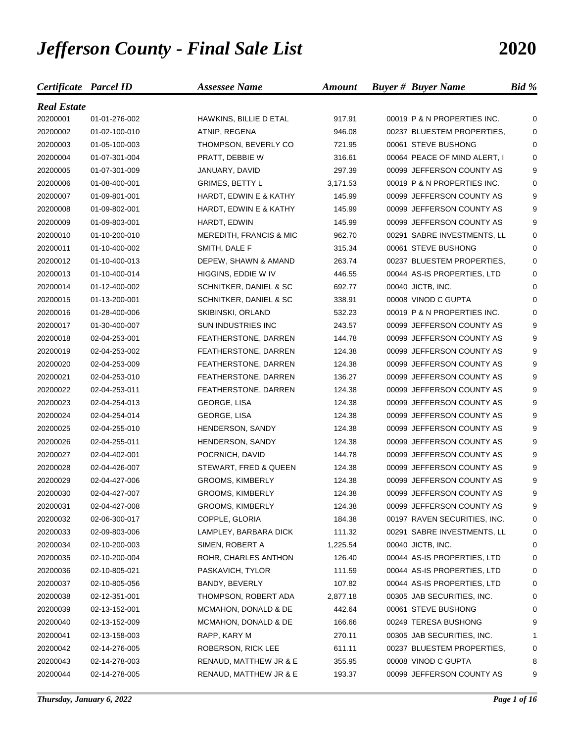## *Jefferson County - Final Sale List* **2020**

| Certificate Parcel ID |               | <b>Assessee Name</b>              | <b>Amount</b> | <b>Buyer # Buyer Name</b>    | Bid %    |
|-----------------------|---------------|-----------------------------------|---------------|------------------------------|----------|
| <b>Real Estate</b>    |               |                                   |               |                              |          |
| 20200001              | 01-01-276-002 | HAWKINS, BILLIE D ETAL            | 917.91        | 00019 P & N PROPERTIES INC.  | 0        |
| 20200002              | 01-02-100-010 | ATNIP, REGENA                     | 946.08        | 00237 BLUESTEM PROPERTIES,   | 0        |
| 20200003              | 01-05-100-003 | THOMPSON, BEVERLY CO              | 721.95        | 00061 STEVE BUSHONG          | 0        |
| 20200004              | 01-07-301-004 | PRATT, DEBBIE W                   | 316.61        | 00064 PEACE OF MIND ALERT, I | 0        |
| 20200005              | 01-07-301-009 | JANUARY, DAVID                    | 297.39        | 00099 JEFFERSON COUNTY AS    | 9        |
| 20200006              | 01-08-400-001 | <b>GRIMES, BETTY L</b>            | 3,171.53      | 00019 P & N PROPERTIES INC.  | 0        |
| 20200007              | 01-09-801-001 | HARDT, EDWIN E & KATHY            | 145.99        | 00099 JEFFERSON COUNTY AS    | 9        |
| 20200008              | 01-09-802-001 | <b>HARDT, EDWIN E &amp; KATHY</b> | 145.99        | 00099 JEFFERSON COUNTY AS    | 9        |
| 20200009              | 01-09-803-001 | HARDT, EDWIN                      | 145.99        | 00099 JEFFERSON COUNTY AS    | 9        |
| 20200010              | 01-10-200-010 | MEREDITH, FRANCIS & MIC           | 962.70        | 00291 SABRE INVESTMENTS, LL  | 0        |
| 20200011              | 01-10-400-002 | SMITH, DALE F                     | 315.34        | 00061 STEVE BUSHONG          | 0        |
| 20200012              | 01-10-400-013 | DEPEW, SHAWN & AMAND              | 263.74        | 00237 BLUESTEM PROPERTIES,   | 0        |
| 20200013              | 01-10-400-014 | HIGGINS, EDDIE W IV               | 446.55        | 00044 AS-IS PROPERTIES, LTD  | 0        |
| 20200014              | 01-12-400-002 | SCHNITKER, DANIEL & SC            | 692.77        | 00040 JICTB, INC.            | $\Omega$ |
| 20200015              | 01-13-200-001 | SCHNITKER, DANIEL & SC            | 338.91        | 00008 VINOD C GUPTA          | 0        |
| 20200016              | 01-28-400-006 | SKIBINSKI, ORLAND                 | 532.23        | 00019 P & N PROPERTIES INC.  | 0        |
| 20200017              | 01-30-400-007 | SUN INDUSTRIES INC                | 243.57        | 00099 JEFFERSON COUNTY AS    | 9        |
| 20200018              | 02-04-253-001 | FEATHERSTONE, DARREN              | 144.78        | 00099 JEFFERSON COUNTY AS    | 9        |
| 20200019              | 02-04-253-002 | FEATHERSTONE, DARREN              | 124.38        | 00099 JEFFERSON COUNTY AS    | 9        |
| 20200020              | 02-04-253-009 | FEATHERSTONE, DARREN              | 124.38        | 00099 JEFFERSON COUNTY AS    | 9        |
| 20200021              | 02-04-253-010 | FEATHERSTONE, DARREN              | 136.27        | 00099 JEFFERSON COUNTY AS    | 9        |
| 20200022              | 02-04-253-011 | FEATHERSTONE, DARREN              | 124.38        | 00099 JEFFERSON COUNTY AS    | 9        |
| 20200023              | 02-04-254-013 | GEORGE, LISA                      | 124.38        | 00099 JEFFERSON COUNTY AS    | 9        |
| 20200024              | 02-04-254-014 | GEORGE, LISA                      | 124.38        | 00099 JEFFERSON COUNTY AS    | 9        |
| 20200025              | 02-04-255-010 | HENDERSON, SANDY                  | 124.38        | 00099 JEFFERSON COUNTY AS    | 9        |
| 20200026              | 02-04-255-011 | HENDERSON, SANDY                  | 124.38        | 00099 JEFFERSON COUNTY AS    | 9        |
| 20200027              | 02-04-402-001 | POCRNICH, DAVID                   | 144.78        | 00099 JEFFERSON COUNTY AS    | 9        |
| 20200028              | 02-04-426-007 | STEWART, FRED & QUEEN             | 124.38        | 00099 JEFFERSON COUNTY AS    | 9        |
| 20200029              | 02-04-427-006 | <b>GROOMS, KIMBERLY</b>           | 124.38        | 00099 JEFFERSON COUNTY AS    | 9        |
| 20200030              | 02-04-427-007 | <b>GROOMS, KIMBERLY</b>           | 124.38        | 00099 JEFFERSON COUNTY AS    | 9        |
| 20200031              | 02-04-427-008 | <b>GROOMS, KIMBERLY</b>           | 124.38        | 00099 JEFFERSON COUNTY AS    | 9        |
| 20200032              | 02-06-300-017 | COPPLE, GLORIA                    | 184.38        | 00197 RAVEN SECURITIES, INC. | 0        |
| 20200033              | 02-09-803-006 | LAMPLEY, BARBARA DICK             | 111.32        | 00291 SABRE INVESTMENTS, LL  | 0        |
| 20200034              | 02-10-200-003 | SIMEN, ROBERT A                   | 1,225.54      | 00040 JICTB, INC.            | 0        |
| 20200035              | 02-10-200-004 | ROHR, CHARLES ANTHON              | 126.40        | 00044 AS-IS PROPERTIES, LTD  | 0        |
| 20200036              | 02-10-805-021 | PASKAVICH, TYLOR                  | 111.59        | 00044 AS-IS PROPERTIES, LTD  | 0        |
| 20200037              | 02-10-805-056 | BANDY, BEVERLY                    | 107.82        | 00044 AS-IS PROPERTIES, LTD  | 0        |
| 20200038              | 02-12-351-001 | THOMPSON, ROBERT ADA              | 2,877.18      | 00305 JAB SECURITIES, INC.   | 0        |
| 20200039              | 02-13-152-001 | MCMAHON, DONALD & DE              | 442.64        | 00061 STEVE BUSHONG          | 0        |
| 20200040              | 02-13-152-009 | MCMAHON, DONALD & DE              | 166.66        | 00249 TERESA BUSHONG         | 9        |
| 20200041              | 02-13-158-003 | RAPP, KARY M                      | 270.11        | 00305 JAB SECURITIES, INC.   | 1        |
| 20200042              | 02-14-276-005 | ROBERSON, RICK LEE                | 611.11        | 00237 BLUESTEM PROPERTIES,   | 0        |
| 20200043              | 02-14-278-003 | RENAUD, MATTHEW JR & E            | 355.95        | 00008 VINOD C GUPTA          | 8        |
| 20200044              | 02-14-278-005 | RENAUD, MATTHEW JR & E            | 193.37        | 00099 JEFFERSON COUNTY AS    | 9        |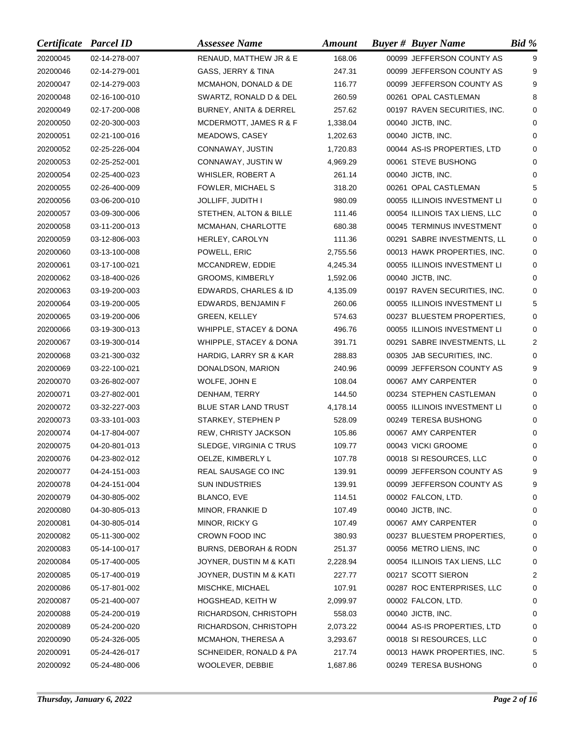| Certificate Parcel ID |               | <b>Assessee Name</b>             | <b>Amount</b> | <b>Buyer # Buyer Name</b>     | Bid %       |
|-----------------------|---------------|----------------------------------|---------------|-------------------------------|-------------|
| 20200045              | 02-14-278-007 | RENAUD, MATTHEW JR & E           | 168.06        | 00099 JEFFERSON COUNTY AS     | 9           |
| 20200046              | 02-14-279-001 | GASS, JERRY & TINA               | 247.31        | 00099 JEFFERSON COUNTY AS     | 9           |
| 20200047              | 02-14-279-003 | MCMAHON, DONALD & DE             | 116.77        | 00099 JEFFERSON COUNTY AS     | 9           |
| 20200048              | 02-16-100-010 | SWARTZ, RONALD D & DEL           | 260.59        | 00261 OPAL CASTLEMAN          | 8           |
| 20200049              | 02-17-200-008 | BURNEY, ANITA & DERREL           | 257.62        | 00197 RAVEN SECURITIES, INC.  | $\Omega$    |
| 20200050              | 02-20-300-003 | MCDERMOTT, JAMES R & F           | 1,338.04      | 00040 JICTB, INC.             | $\Omega$    |
| 20200051              | 02-21-100-016 | MEADOWS, CASEY                   | 1,202.63      | 00040 JICTB, INC.             | $\Omega$    |
| 20200052              | 02-25-226-004 | CONNAWAY, JUSTIN                 | 1,720.83      | 00044 AS-IS PROPERTIES, LTD   | 0           |
| 20200053              | 02-25-252-001 | CONNAWAY, JUSTIN W               | 4,969.29      | 00061 STEVE BUSHONG           | 0           |
| 20200054              | 02-25-400-023 | WHISLER, ROBERT A                | 261.14        | 00040 JICTB, INC.             | $\Omega$    |
| 20200055              | 02-26-400-009 | FOWLER, MICHAEL S                | 318.20        | 00261 OPAL CASTLEMAN          | 5           |
| 20200056              | 03-06-200-010 | <b>JOLLIFF, JUDITH I</b>         | 980.09        | 00055 ILLINOIS INVESTMENT LI  | $\Omega$    |
| 20200057              | 03-09-300-006 | STETHEN, ALTON & BILLE           | 111.46        | 00054 ILLINOIS TAX LIENS, LLC | $\Omega$    |
| 20200058              | 03-11-200-013 | MCMAHAN, CHARLOTTE               | 680.38        | 00045 TERMINUS INVESTMENT     | 0           |
| 20200059              | 03-12-806-003 | HERLEY, CAROLYN                  | 111.36        | 00291 SABRE INVESTMENTS, LL   | 0           |
| 20200060              | 03-13-100-008 | POWELL, ERIC                     | 2,755.56      | 00013 HAWK PROPERTIES, INC.   | 0           |
| 20200061              | 03-17-100-021 | MCCANDREW, EDDIE                 | 4,245.34      | 00055 ILLINOIS INVESTMENT LI  | $\Omega$    |
| 20200062              | 03-18-400-026 | <b>GROOMS, KIMBERLY</b>          | 1,592.06      | 00040 JICTB, INC.             | $\Omega$    |
| 20200063              | 03-19-200-003 | EDWARDS, CHARLES & ID            | 4,135.09      | 00197 RAVEN SECURITIES, INC.  | $\Omega$    |
| 20200064              | 03-19-200-005 | EDWARDS, BENJAMIN F              | 260.06        | 00055 ILLINOIS INVESTMENT LI  | 5           |
| 20200065              | 03-19-200-006 | <b>GREEN, KELLEY</b>             | 574.63        | 00237 BLUESTEM PROPERTIES,    | 0           |
| 20200066              | 03-19-300-013 | WHIPPLE, STACEY & DONA           | 496.76        | 00055 ILLINOIS INVESTMENT LI  | $\mathbf 0$ |
| 20200067              | 03-19-300-014 | WHIPPLE, STACEY & DONA           | 391.71        | 00291 SABRE INVESTMENTS, LL   | 2           |
| 20200068              | 03-21-300-032 | HARDIG, LARRY SR & KAR           | 288.83        | 00305 JAB SECURITIES, INC.    | 0           |
| 20200069              | 03-22-100-021 | DONALDSON, MARION                | 240.96        | 00099 JEFFERSON COUNTY AS     | 9           |
| 20200070              | 03-26-802-007 | WOLFE, JOHN E                    | 108.04        | 00067 AMY CARPENTER           | 0           |
| 20200071              | 03-27-802-001 | DENHAM, TERRY                    | 144.50        | 00234 STEPHEN CASTLEMAN       | $\Omega$    |
| 20200072              | 03-32-227-003 | BLUE STAR LAND TRUST             | 4,178.14      | 00055 ILLINOIS INVESTMENT LI  | 0           |
| 20200073              | 03-33-101-003 | STARKEY, STEPHEN P               | 528.09        | 00249 TERESA BUSHONG          | 0           |
| 20200074              | 04-17-804-007 | <b>REW, CHRISTY JACKSON</b>      | 105.86        | 00067 AMY CARPENTER           | 0           |
| 20200075              | 04-20-801-013 | SLEDGE, VIRGINIA C TRUS          | 109.77        | 00043 VICKI GROOME            | 0           |
| 20200076              | 04-23-802-012 | OELZE, KIMBERLY L                | 107.78        | 00018 SI RESOURCES, LLC       | 0           |
| 20200077              | 04-24-151-003 | REAL SAUSAGE CO INC              | 139.91        | 00099 JEFFERSON COUNTY AS     | 9           |
| 20200078              | 04-24-151-004 | <b>SUN INDUSTRIES</b>            | 139.91        | 00099 JEFFERSON COUNTY AS     | 9           |
| 20200079              | 04-30-805-002 | BLANCO, EVE                      | 114.51        | 00002 FALCON, LTD.            | 0           |
| 20200080              | 04-30-805-013 | MINOR, FRANKIE D                 | 107.49        | 00040 JICTB, INC.             | 0           |
| 20200081              | 04-30-805-014 | MINOR, RICKY G                   | 107.49        | 00067 AMY CARPENTER           | 0           |
| 20200082              | 05-11-300-002 | CROWN FOOD INC                   | 380.93        | 00237 BLUESTEM PROPERTIES,    | 0           |
| 20200083              | 05-14-100-017 | <b>BURNS, DEBORAH &amp; RODN</b> | 251.37        | 00056 METRO LIENS, INC        | 0           |
| 20200084              | 05-17-400-005 | JOYNER, DUSTIN M & KATI          | 2,228.94      | 00054 ILLINOIS TAX LIENS, LLC | 0           |
| 20200085              | 05-17-400-019 | JOYNER, DUSTIN M & KATI          | 227.77        | 00217 SCOTT SIERON            | 2           |
| 20200086              | 05-17-801-002 | MISCHKE, MICHAEL                 | 107.91        | 00287 ROC ENTERPRISES, LLC    | 0           |
| 20200087              | 05-21-400-007 | HOGSHEAD, KEITH W                | 2,099.97      | 00002 FALCON, LTD.            | 0           |
| 20200088              | 05-24-200-019 | RICHARDSON, CHRISTOPH            | 558.03        | 00040 JICTB, INC.             | 0           |
| 20200089              | 05-24-200-020 | RICHARDSON, CHRISTOPH            | 2,073.22      | 00044 AS-IS PROPERTIES, LTD   | 0           |
| 20200090              | 05-24-326-005 | MCMAHON, THERESA A               | 3,293.67      | 00018 SI RESOURCES, LLC       | 0           |
| 20200091              | 05-24-426-017 | SCHNEIDER, RONALD & PA           | 217.74        | 00013 HAWK PROPERTIES, INC.   | 5           |
| 20200092              | 05-24-480-006 | WOOLEVER, DEBBIE                 | 1,687.86      | 00249 TERESA BUSHONG          | 0           |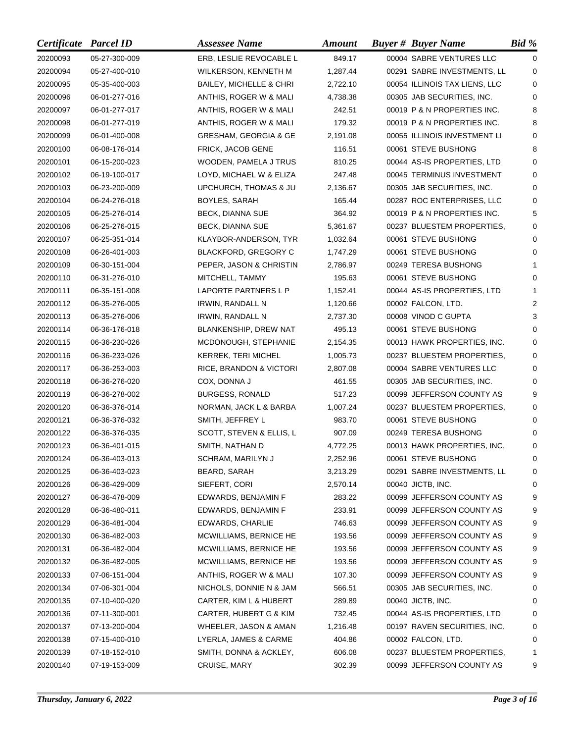| Certificate Parcel ID |               | <b>Assessee Name</b>               | <b>Amount</b> | <b>Buyer # Buyer Name</b>     | $Bid \mathcal{C}$ |
|-----------------------|---------------|------------------------------------|---------------|-------------------------------|-------------------|
| 20200093              | 05-27-300-009 | ERB, LESLIE REVOCABLE L            | 849.17        | 00004 SABRE VENTURES LLC      | $\Omega$          |
| 20200094              | 05-27-400-010 | WILKERSON, KENNETH M               | 1,287.44      | 00291 SABRE INVESTMENTS, LL   | $\Omega$          |
| 20200095              | 05-35-400-003 | <b>BAILEY, MICHELLE &amp; CHRI</b> | 2,722.10      | 00054 ILLINOIS TAX LIENS, LLC | 0                 |
| 20200096              | 06-01-277-016 | ANTHIS, ROGER W & MALI             | 4,738.38      | 00305 JAB SECURITIES, INC.    | 0                 |
| 20200097              | 06-01-277-017 | ANTHIS, ROGER W & MALI             | 242.51        | 00019 P & N PROPERTIES INC.   | 8                 |
| 20200098              | 06-01-277-019 | ANTHIS, ROGER W & MALI             | 179.32        | 00019 P & N PROPERTIES INC.   | 8                 |
| 20200099              | 06-01-400-008 | <b>GRESHAM, GEORGIA &amp; GE</b>   | 2,191.08      | 00055 ILLINOIS INVESTMENT LI  | 0                 |
| 20200100              | 06-08-176-014 | FRICK, JACOB GENE                  | 116.51        | 00061 STEVE BUSHONG           | 8                 |
| 20200101              | 06-15-200-023 | WOODEN, PAMELA J TRUS              | 810.25        | 00044 AS-IS PROPERTIES, LTD   | 0                 |
| 20200102              | 06-19-100-017 | LOYD, MICHAEL W & ELIZA            | 247.48        | 00045 TERMINUS INVESTMENT     | 0                 |
| 20200103              | 06-23-200-009 | UPCHURCH, THOMAS & JU              | 2,136.67      | 00305 JAB SECURITIES, INC.    | 0                 |
| 20200104              | 06-24-276-018 | BOYLES, SARAH                      | 165.44        | 00287 ROC ENTERPRISES, LLC    | 0                 |
| 20200105              | 06-25-276-014 | BECK, DIANNA SUE                   | 364.92        | 00019 P & N PROPERTIES INC.   | 5                 |
| 20200106              | 06-25-276-015 | <b>BECK, DIANNA SUE</b>            | 5,361.67      | 00237 BLUESTEM PROPERTIES,    | $\Omega$          |
| 20200107              | 06-25-351-014 | KLAYBOR-ANDERSON, TYR              | 1,032.64      | 00061 STEVE BUSHONG           | 0                 |
| 20200108              | 06-26-401-003 | <b>BLACKFORD, GREGORY C</b>        | 1,747.29      | 00061 STEVE BUSHONG           | $\Omega$          |
| 20200109              | 06-30-151-004 | PEPER, JASON & CHRISTIN            | 2,786.97      | 00249 TERESA BUSHONG          | 1                 |
| 20200110              | 06-31-276-010 | MITCHELL, TAMMY                    | 195.63        | 00061 STEVE BUSHONG           | 0                 |
| 20200111              | 06-35-151-008 | LAPORTE PARTNERS L P               | 1,152.41      | 00044 AS-IS PROPERTIES, LTD   | 1                 |
| 20200112              | 06-35-276-005 | <b>IRWIN, RANDALL N</b>            | 1,120.66      | 00002 FALCON, LTD.            | 2                 |
| 20200113              | 06-35-276-006 | <b>IRWIN, RANDALL N</b>            | 2,737.30      | 00008 VINOD C GUPTA           | 3                 |
| 20200114              | 06-36-176-018 | BLANKENSHIP, DREW NAT              | 495.13        | 00061 STEVE BUSHONG           | 0                 |
| 20200115              | 06-36-230-026 | MCDONOUGH, STEPHANIE               | 2,154.35      | 00013 HAWK PROPERTIES, INC.   | 0                 |
| 20200116              | 06-36-233-026 | KERREK, TERI MICHEL                | 1,005.73      | 00237 BLUESTEM PROPERTIES,    | 0                 |
| 20200117              | 06-36-253-003 | RICE, BRANDON & VICTORI            | 2,807.08      | 00004 SABRE VENTURES LLC      | 0                 |
| 20200118              | 06-36-276-020 | COX, DONNA J                       | 461.55        | 00305 JAB SECURITIES, INC.    | $\Omega$          |
| 20200119              | 06-36-278-002 | <b>BURGESS, RONALD</b>             | 517.23        | 00099 JEFFERSON COUNTY AS     | 9                 |
| 20200120              | 06-36-376-014 | NORMAN, JACK L & BARBA             | 1,007.24      | 00237 BLUESTEM PROPERTIES,    | 0                 |
| 20200121              | 06-36-376-032 | SMITH, JEFFREY L                   | 983.70        | 00061 STEVE BUSHONG           | 0                 |
| 20200122              | 06-36-376-035 | SCOTT, STEVEN & ELLIS, L           | 907.09        | 00249 TERESA BUSHONG          | 0                 |
| 20200123              | 06-36-401-015 | SMITH, NATHAN D                    | 4,772.25      | 00013 HAWK PROPERTIES, INC.   | 0                 |
| 20200124              | 06-36-403-013 | SCHRAM, MARILYN J                  | 2,252.96      | 00061 STEVE BUSHONG           | 0                 |
| 20200125              | 06-36-403-023 | BEARD, SARAH                       | 3,213.29      | 00291 SABRE INVESTMENTS, LL   | 0                 |
| 20200126              | 06-36-429-009 | SIEFERT, CORI                      | 2,570.14      | 00040 JICTB, INC.             | 0                 |
| 20200127              | 06-36-478-009 | EDWARDS, BENJAMIN F                | 283.22        | 00099 JEFFERSON COUNTY AS     | 9                 |
| 20200128              | 06-36-480-011 | EDWARDS, BENJAMIN F                | 233.91        | 00099 JEFFERSON COUNTY AS     | 9                 |
| 20200129              | 06-36-481-004 | EDWARDS, CHARLIE                   | 746.63        | 00099 JEFFERSON COUNTY AS     | 9                 |
| 20200130              | 06-36-482-003 | MCWILLIAMS, BERNICE HE             | 193.56        | 00099 JEFFERSON COUNTY AS     | 9                 |
| 20200131              | 06-36-482-004 | MCWILLIAMS, BERNICE HE             | 193.56        | 00099 JEFFERSON COUNTY AS     | 9                 |
| 20200132              | 06-36-482-005 | MCWILLIAMS, BERNICE HE             | 193.56        | 00099 JEFFERSON COUNTY AS     | 9                 |
| 20200133              | 07-06-151-004 | ANTHIS, ROGER W & MALI             | 107.30        | 00099 JEFFERSON COUNTY AS     | 9                 |
| 20200134              | 07-06-301-004 | NICHOLS, DONNIE N & JAM            | 566.51        | 00305 JAB SECURITIES, INC.    | 0                 |
| 20200135              | 07-10-400-020 | CARTER, KIM L & HUBERT             | 289.89        | 00040 JICTB, INC.             | 0                 |
| 20200136              | 07-11-300-001 | CARTER, HUBERT G & KIM             | 732.45        | 00044 AS-IS PROPERTIES, LTD   | 0                 |
| 20200137              | 07-13-200-004 | WHEELER, JASON & AMAN              | 1,216.48      | 00197 RAVEN SECURITIES, INC.  | 0                 |
| 20200138              | 07-15-400-010 | LYERLA, JAMES & CARME              | 404.86        | 00002 FALCON, LTD.            | 0                 |
| 20200139              | 07-18-152-010 | SMITH, DONNA & ACKLEY,             | 606.08        | 00237 BLUESTEM PROPERTIES,    | 1                 |
| 20200140              | 07-19-153-009 | CRUISE, MARY                       | 302.39        | 00099 JEFFERSON COUNTY AS     | 9                 |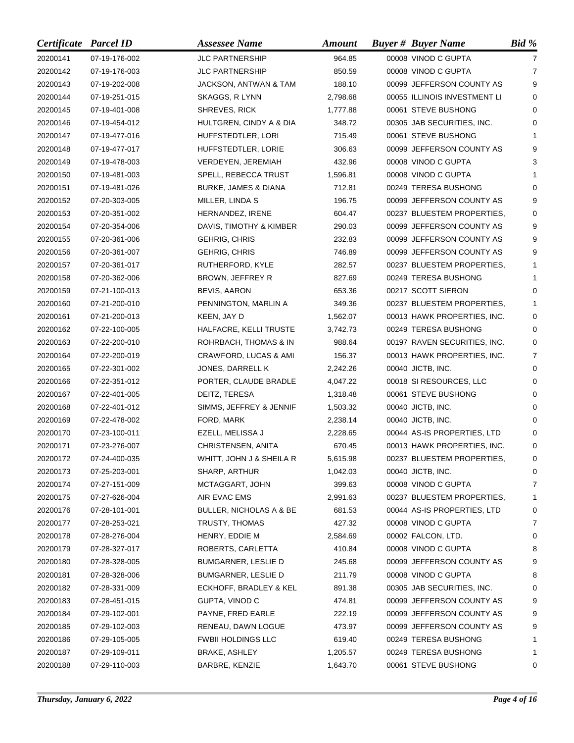| Certificate Parcel ID |               | <b>Assessee Name</b>               | <b>Amount</b> | <b>Buyer # Buyer Name</b>    | Bid %          |
|-----------------------|---------------|------------------------------------|---------------|------------------------------|----------------|
| 20200141              | 07-19-176-002 | <b>JLC PARTNERSHIP</b>             | 964.85        | 00008 VINOD C GUPTA          | 7              |
| 20200142              | 07-19-176-003 | <b>JLC PARTNERSHIP</b>             | 850.59        | 00008 VINOD C GUPTA          | $\overline{7}$ |
| 20200143              | 07-19-202-008 | JACKSON, ANTWAN & TAM              | 188.10        | 00099 JEFFERSON COUNTY AS    | 9              |
| 20200144              | 07-19-251-015 | SKAGGS, R LYNN                     | 2,798.68      | 00055 ILLINOIS INVESTMENT LI | $\Omega$       |
| 20200145              | 07-19-401-008 | SHREVES, RICK                      | 1,777.88      | 00061 STEVE BUSHONG          | 0              |
| 20200146              | 07-19-454-012 | HULTGREN, CINDY A & DIA            | 348.72        | 00305 JAB SECURITIES, INC.   | 0              |
| 20200147              | 07-19-477-016 | HUFFSTEDTLER, LORI                 | 715.49        | 00061 STEVE BUSHONG          | 1              |
| 20200148              | 07-19-477-017 | HUFFSTEDTLER, LORIE                | 306.63        | 00099 JEFFERSON COUNTY AS    | 9              |
| 20200149              | 07-19-478-003 | VERDEYEN, JEREMIAH                 | 432.96        | 00008 VINOD C GUPTA          | 3              |
| 20200150              | 07-19-481-003 | SPELL, REBECCA TRUST               | 1,596.81      | 00008 VINOD C GUPTA          | 1              |
| 20200151              | 07-19-481-026 | <b>BURKE, JAMES &amp; DIANA</b>    | 712.81        | 00249 TERESA BUSHONG         | $\Omega$       |
| 20200152              | 07-20-303-005 | MILLER, LINDA S                    | 196.75        | 00099 JEFFERSON COUNTY AS    | 9              |
| 20200153              | 07-20-351-002 | HERNANDEZ, IRENE                   | 604.47        | 00237 BLUESTEM PROPERTIES,   | $\Omega$       |
| 20200154              | 07-20-354-006 | DAVIS, TIMOTHY & KIMBER            | 290.03        | 00099 JEFFERSON COUNTY AS    | 9              |
| 20200155              | 07-20-361-006 | <b>GEHRIG, CHRIS</b>               | 232.83        | 00099 JEFFERSON COUNTY AS    | 9              |
| 20200156              | 07-20-361-007 | <b>GEHRIG, CHRIS</b>               | 746.89        | 00099 JEFFERSON COUNTY AS    | 9              |
| 20200157              | 07-20-361-017 | RUTHERFORD, KYLE                   | 282.57        | 00237 BLUESTEM PROPERTIES,   | 1              |
| 20200158              | 07-20-362-006 | BROWN, JEFFREY R                   | 827.69        | 00249 TERESA BUSHONG         | 1              |
| 20200159              | 07-21-100-013 | BEVIS, AARON                       | 653.36        | 00217 SCOTT SIERON           | 0              |
| 20200160              | 07-21-200-010 | PENNINGTON, MARLIN A               | 349.36        | 00237 BLUESTEM PROPERTIES,   | 1              |
| 20200161              | 07-21-200-013 | KEEN, JAY D                        | 1,562.07      | 00013 HAWK PROPERTIES, INC.  | 0              |
| 20200162              | 07-22-100-005 | HALFACRE, KELLI TRUSTE             | 3,742.73      | 00249 TERESA BUSHONG         | 0              |
| 20200163              | 07-22-200-010 | ROHRBACH, THOMAS & IN              | 988.64        | 00197 RAVEN SECURITIES, INC. | 0              |
| 20200164              | 07-22-200-019 | CRAWFORD, LUCAS & AMI              | 156.37        | 00013 HAWK PROPERTIES, INC.  | $\overline{7}$ |
| 20200165              | 07-22-301-002 | JONES, DARRELL K                   | 2,242.26      | 00040 JICTB, INC.            | 0              |
| 20200166              | 07-22-351-012 | PORTER, CLAUDE BRADLE              | 4,047.22      | 00018 SI RESOURCES, LLC      | $\Omega$       |
| 20200167              | 07-22-401-005 | DEITZ, TERESA                      | 1,318.48      | 00061 STEVE BUSHONG          | 0              |
| 20200168              | 07-22-401-012 | SIMMS, JEFFREY & JENNIF            | 1,503.32      | 00040 JICTB, INC.            | $\Omega$       |
| 20200169              | 07-22-478-002 | FORD, MARK                         | 2,238.14      | 00040 JICTB, INC.            | 0              |
| 20200170              | 07-23-100-011 | EZELL, MELISSA J                   | 2,228.65      | 00044 AS-IS PROPERTIES, LTD  | 0              |
| 20200171              | 07-23-276-007 | CHRISTENSEN, ANITA                 | 670.45        | 00013 HAWK PROPERTIES, INC.  | 0              |
| 20200172              | 07-24-400-035 | WHITT, JOHN J & SHEILA R           | 5,615.98      | 00237 BLUESTEM PROPERTIES,   | 0              |
| 20200173              | 07-25-203-001 | SHARP, ARTHUR                      | 1,042.03      | 00040 JICTB, INC.            | 0              |
| 20200174              | 07-27-151-009 | MCTAGGART, JOHN                    | 399.63        | 00008 VINOD C GUPTA          | $\overline{7}$ |
| 20200175              | 07-27-626-004 | AIR EVAC EMS                       | 2,991.63      | 00237 BLUESTEM PROPERTIES,   | 1              |
| 20200176              | 07-28-101-001 | <b>BULLER, NICHOLAS A &amp; BE</b> | 681.53        | 00044 AS-IS PROPERTIES, LTD  | 0              |
| 20200177              | 07-28-253-021 | <b>TRUSTY, THOMAS</b>              | 427.32        | 00008 VINOD C GUPTA          | 7              |
| 20200178              | 07-28-276-004 | HENRY, EDDIE M                     | 2,584.69      | 00002 FALCON, LTD.           | 0              |
| 20200179              | 07-28-327-017 | ROBERTS, CARLETTA                  | 410.84        | 00008 VINOD C GUPTA          | 8              |
| 20200180              | 07-28-328-005 | BUMGARNER, LESLIE D                | 245.68        | 00099 JEFFERSON COUNTY AS    | 9              |
| 20200181              | 07-28-328-006 | BUMGARNER, LESLIE D                | 211.79        | 00008 VINOD C GUPTA          | 8              |
| 20200182              | 07-28-331-009 | ECKHOFF, BRADLEY & KEL             | 891.38        | 00305 JAB SECURITIES, INC.   | 0              |
| 20200183              | 07-28-451-015 | GUPTA, VINOD C                     | 474.81        | 00099 JEFFERSON COUNTY AS    | 9              |
| 20200184              | 07-29-102-001 | PAYNE, FRED EARLE                  | 222.19        | 00099 JEFFERSON COUNTY AS    | 9              |
| 20200185              | 07-29-102-003 | RENEAU, DAWN LOGUE                 | 473.97        | 00099 JEFFERSON COUNTY AS    | 9              |
| 20200186              | 07-29-105-005 | <b>FWBII HOLDINGS LLC</b>          | 619.40        | 00249 TERESA BUSHONG         | 1              |
| 20200187              | 07-29-109-011 | BRAKE, ASHLEY                      | 1,205.57      | 00249 TERESA BUSHONG         | 1              |
| 20200188              | 07-29-110-003 | BARBRE, KENZIE                     | 1,643.70      | 00061 STEVE BUSHONG          | 0              |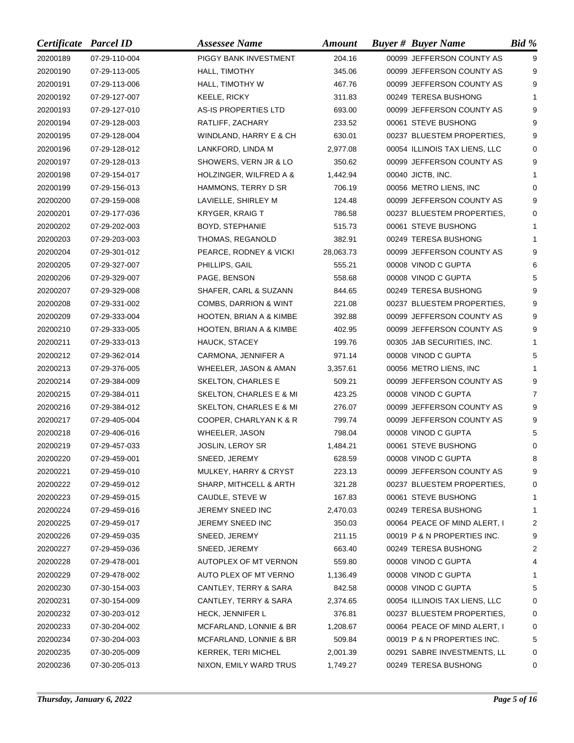| Certificate Parcel ID |               | <b>Assessee Name</b>             | <b>Amount</b> | <b>Buyer # Buyer Name</b>     | Bid %    |
|-----------------------|---------------|----------------------------------|---------------|-------------------------------|----------|
| 20200189              | 07-29-110-004 | PIGGY BANK INVESTMENT            | 204.16        | 00099 JEFFERSON COUNTY AS     | 9        |
| 20200190              | 07-29-113-005 | HALL, TIMOTHY                    | 345.06        | 00099 JEFFERSON COUNTY AS     | 9        |
| 20200191              | 07-29-113-006 | HALL, TIMOTHY W                  | 467.76        | 00099 JEFFERSON COUNTY AS     | 9        |
| 20200192              | 07-29-127-007 | KEELE, RICKY                     | 311.83        | 00249 TERESA BUSHONG          | 1        |
| 20200193              | 07-29-127-010 | AS-IS PROPERTIES LTD             | 693.00        | 00099 JEFFERSON COUNTY AS     | 9        |
| 20200194              | 07-29-128-003 | RATLIFF, ZACHARY                 | 233.52        | 00061 STEVE BUSHONG           | 9        |
| 20200195              | 07-29-128-004 | WINDLAND, HARRY E & CH           | 630.01        | 00237 BLUESTEM PROPERTIES,    | 9        |
| 20200196              | 07-29-128-012 | LANKFORD, LINDA M                | 2,977.08      | 00054 ILLINOIS TAX LIENS, LLC | 0        |
| 20200197              | 07-29-128-013 | SHOWERS, VERN JR & LO            | 350.62        | 00099 JEFFERSON COUNTY AS     | 9        |
| 20200198              | 07-29-154-017 | HOLZINGER, WILFRED A &           | 1,442.94      | 00040 JICTB, INC.             |          |
| 20200199              | 07-29-156-013 | HAMMONS, TERRY D SR              | 706.19        | 00056 METRO LIENS, INC        | 0        |
| 20200200              | 07-29-159-008 | LAVIELLE, SHIRLEY M              | 124.48        | 00099 JEFFERSON COUNTY AS     | 9        |
| 20200201              | 07-29-177-036 | <b>KRYGER, KRAIG T</b>           | 786.58        | 00237 BLUESTEM PROPERTIES,    | $\Omega$ |
| 20200202              | 07-29-202-003 | BOYD, STEPHANIE                  | 515.73        | 00061 STEVE BUSHONG           | 1        |
| 20200203              | 07-29-203-003 | THOMAS, REGANOLD                 | 382.91        | 00249 TERESA BUSHONG          | 1        |
| 20200204              | 07-29-301-012 | PEARCE, RODNEY & VICKI           | 28,063.73     | 00099 JEFFERSON COUNTY AS     | 9        |
| 20200205              | 07-29-327-007 | PHILLIPS, GAIL                   | 555.21        | 00008 VINOD C GUPTA           | 6        |
| 20200206              | 07-29-329-007 | PAGE, BENSON                     | 558.68        | 00008 VINOD C GUPTA           | 5        |
| 20200207              | 07-29-329-008 | SHAFER, CARL & SUZANN            | 844.65        | 00249 TERESA BUSHONG          | 9        |
| 20200208              | 07-29-331-002 | <b>COMBS, DARRION &amp; WINT</b> | 221.08        | 00237 BLUESTEM PROPERTIES,    | 9        |
| 20200209              | 07-29-333-004 | HOOTEN, BRIAN A & KIMBE          | 392.88        | 00099 JEFFERSON COUNTY AS     | 9        |
| 20200210              | 07-29-333-005 | HOOTEN, BRIAN A & KIMBE          | 402.95        | 00099 JEFFERSON COUNTY AS     | 9        |
| 20200211              | 07-29-333-013 | HAUCK, STACEY                    | 199.76        | 00305 JAB SECURITIES, INC.    | 1        |
| 20200212              | 07-29-362-014 | CARMONA, JENNIFER A              | 971.14        | 00008 VINOD C GUPTA           | 5        |
| 20200213              | 07-29-376-005 | WHEELER, JASON & AMAN            | 3,357.61      | 00056 METRO LIENS, INC        | 1        |
| 20200214              | 07-29-384-009 | SKELTON, CHARLES E               | 509.21        | 00099 JEFFERSON COUNTY AS     | 9        |
| 20200215              | 07-29-384-011 | SKELTON, CHARLES E & MI          | 423.25        | 00008 VINOD C GUPTA           | 7        |
| 20200216              | 07-29-384-012 | SKELTON, CHARLES E & MI          | 276.07        | 00099 JEFFERSON COUNTY AS     | 9        |
| 20200217              | 07-29-405-004 | COOPER, CHARLYAN K & R           | 799.74        | 00099 JEFFERSON COUNTY AS     | 9        |
| 20200218              | 07-29-406-016 | WHEELER, JASON                   | 798.04        | 00008 VINOD C GUPTA           | 5        |
| 20200219              | 07-29-457-033 | JOSLIN, LEROY SR                 | 1,484.21      | 00061 STEVE BUSHONG           | 0        |
| 20200220              | 07-29-459-001 | SNEED, JEREMY                    | 628.59        | 00008 VINOD C GUPTA           | $\bf 8$  |
| 20200221              | 07-29-459-010 | MULKEY, HARRY & CRYST            | 223.13        | 00099 JEFFERSON COUNTY AS     | 9        |
| 20200222              | 07-29-459-012 | SHARP, MITHCELL & ARTH           | 321.28        | 00237 BLUESTEM PROPERTIES,    | 0        |
| 20200223              | 07-29-459-015 | CAUDLE, STEVE W                  | 167.83        | 00061 STEVE BUSHONG           | 1        |
| 20200224              | 07-29-459-016 | JEREMY SNEED INC                 | 2,470.03      | 00249 TERESA BUSHONG          | 1        |
| 20200225              | 07-29-459-017 | JEREMY SNEED INC                 | 350.03        | 00064 PEACE OF MIND ALERT, I  | 2        |
| 20200226              | 07-29-459-035 | SNEED, JEREMY                    | 211.15        | 00019 P & N PROPERTIES INC.   | 9        |
| 20200227              | 07-29-459-036 | SNEED, JEREMY                    | 663.40        | 00249 TERESA BUSHONG          | 2        |
| 20200228              | 07-29-478-001 | AUTOPLEX OF MT VERNON            | 559.80        | 00008 VINOD C GUPTA           | 4        |
| 20200229              | 07-29-478-002 | AUTO PLEX OF MT VERNO            | 1,136.49      | 00008 VINOD C GUPTA           | 1        |
| 20200230              | 07-30-154-003 | CANTLEY, TERRY & SARA            | 842.58        | 00008 VINOD C GUPTA           | 5        |
| 20200231              | 07-30-154-009 | CANTLEY, TERRY & SARA            | 2,374.65      | 00054 ILLINOIS TAX LIENS, LLC | 0        |
| 20200232              | 07-30-203-012 | <b>HECK, JENNIFER L</b>          | 376.81        | 00237 BLUESTEM PROPERTIES,    | 0        |
| 20200233              | 07-30-204-002 | MCFARLAND, LONNIE & BR           | 1,208.67      | 00064 PEACE OF MIND ALERT, I  | 0        |
| 20200234              | 07-30-204-003 | MCFARLAND, LONNIE & BR           | 509.84        | 00019 P & N PROPERTIES INC.   | 5        |
| 20200235              | 07-30-205-009 | KERREK, TERI MICHEL              | 2,001.39      | 00291 SABRE INVESTMENTS, LL   | 0        |
| 20200236              | 07-30-205-013 | NIXON, EMILY WARD TRUS           | 1,749.27      | 00249 TERESA BUSHONG          | 0        |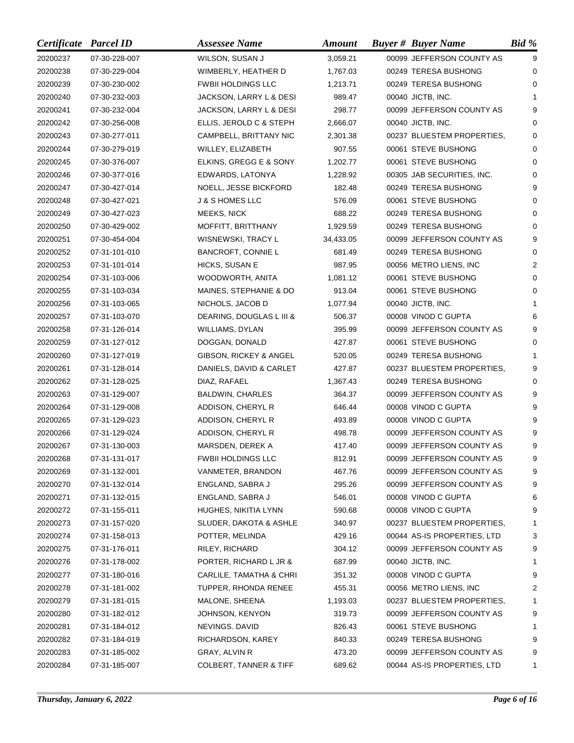| Certificate Parcel ID |               | <b>Assessee Name</b>              | <b>Amount</b> | <b>Buyer # Buyer Name</b>   | Bid %    |
|-----------------------|---------------|-----------------------------------|---------------|-----------------------------|----------|
| 20200237              | 07-30-228-007 | WILSON, SUSAN J                   | 3,059.21      | 00099 JEFFERSON COUNTY AS   | 9        |
| 20200238              | 07-30-229-004 | WIMBERLY, HEATHER D               | 1,767.03      | 00249 TERESA BUSHONG        | 0        |
| 20200239              | 07-30-230-002 | <b>FWBII HOLDINGS LLC</b>         | 1,213.71      | 00249 TERESA BUSHONG        | $\Omega$ |
| 20200240              | 07-30-232-003 | JACKSON, LARRY L & DESI           | 989.47        | 00040 JICTB, INC.           |          |
| 20200241              | 07-30-232-004 | JACKSON, LARRY L & DESI           | 298.77        | 00099 JEFFERSON COUNTY AS   | 9        |
| 20200242              | 07-30-256-008 | ELLIS, JEROLD C & STEPH           | 2,666.07      | 00040 JICTB, INC.           | 0        |
| 20200243              | 07-30-277-011 | CAMPBELL, BRITTANY NIC            | 2,301.38      | 00237 BLUESTEM PROPERTIES,  | $\Omega$ |
| 20200244              | 07-30-279-019 | WILLEY, ELIZABETH                 | 907.55        | 00061 STEVE BUSHONG         | 0        |
| 20200245              | 07-30-376-007 | ELKINS, GREGG E & SONY            | 1,202.77      | 00061 STEVE BUSHONG         | $\Omega$ |
| 20200246              | 07-30-377-016 | EDWARDS, LATONYA                  | 1,228.92      | 00305 JAB SECURITIES, INC.  | 0        |
| 20200247              | 07-30-427-014 | <b>NOELL, JESSE BICKFORD</b>      | 182.48        | 00249 TERESA BUSHONG        | 9        |
| 20200248              | 07-30-427-021 | <b>J &amp; S HOMES LLC</b>        | 576.09        | 00061 STEVE BUSHONG         | 0        |
| 20200249              | 07-30-427-023 | MEEKS, NICK                       | 688.22        | 00249 TERESA BUSHONG        | $\Omega$ |
| 20200250              | 07-30-429-002 | MOFFITT, BRITTHANY                | 1,929.59      | 00249 TERESA BUSHONG        | $\Omega$ |
| 20200251              | 07-30-454-004 | WISNEWSKI, TRACY L                | 34,433.05     | 00099 JEFFERSON COUNTY AS   | 9        |
| 20200252              | 07-31-101-010 | <b>BANCROFT, CONNIE L</b>         | 681.49        | 00249 TERESA BUSHONG        | 0        |
| 20200253              | 07-31-101-014 | HICKS, SUSAN E                    | 987.95        | 00056 METRO LIENS, INC      | 2        |
| 20200254              | 07-31-103-006 | WOODWORTH, ANITA                  | 1,081.12      | 00061 STEVE BUSHONG         | 0        |
| 20200255              | 07-31-103-034 | MAINES, STEPHANIE & DO            | 913.04        | 00061 STEVE BUSHONG         | $\Omega$ |
| 20200256              | 07-31-103-065 | NICHOLS, JACOB D                  | 1,077.94      | 00040 JICTB, INC.           | 1        |
| 20200257              | 07-31-103-070 | DEARING, DOUGLAS L III &          | 506.37        | 00008 VINOD C GUPTA         | 6        |
| 20200258              | 07-31-126-014 | WILLIAMS, DYLAN                   | 395.99        | 00099 JEFFERSON COUNTY AS   | 9        |
| 20200259              | 07-31-127-012 | DOGGAN, DONALD                    | 427.87        | 00061 STEVE BUSHONG         | 0        |
| 20200260              | 07-31-127-019 | GIBSON, RICKEY & ANGEL            | 520.05        | 00249 TERESA BUSHONG        |          |
| 20200261              | 07-31-128-014 | DANIELS, DAVID & CARLET           | 427.87        | 00237 BLUESTEM PROPERTIES,  | 9        |
| 20200262              | 07-31-128-025 | DIAZ, RAFAEL                      | 1,367.43      | 00249 TERESA BUSHONG        | 0        |
| 20200263              | 07-31-129-007 | <b>BALDWIN, CHARLES</b>           | 364.37        | 00099 JEFFERSON COUNTY AS   | 9        |
| 20200264              | 07-31-129-008 | ADDISON, CHERYL R                 | 646.44        | 00008 VINOD C GUPTA         | 9        |
| 20200265              | 07-31-129-023 | ADDISON, CHERYL R                 | 493.89        | 00008 VINOD C GUPTA         | 9        |
| 20200266              | 07-31-129-024 | ADDISON, CHERYL R                 | 498.78        | 00099 JEFFERSON COUNTY AS   | 9        |
| 20200267              | 07-31-130-003 | MARSDEN, DEREK A                  | 417.40        | 00099 JEFFERSON COUNTY AS   | 9        |
| 20200268              | 07-31-131-017 | <b>FWBII HOLDINGS LLC</b>         | 812.91        | 00099 JEFFERSON COUNTY AS   | g        |
| 20200269              | 07-31-132-001 | VANMETER, BRANDON                 | 467.76        | 00099 JEFFERSON COUNTY AS   | 9        |
| 20200270              | 07-31-132-014 | ENGLAND, SABRA J                  | 295.26        | 00099 JEFFERSON COUNTY AS   | 9        |
| 20200271              | 07-31-132-015 | ENGLAND, SABRA J                  | 546.01        | 00008 VINOD C GUPTA         | 6        |
| 20200272              | 07-31-155-011 | HUGHES, NIKITIA LYNN              | 590.68        | 00008 VINOD C GUPTA         | 9        |
| 20200273              | 07-31-157-020 | SLUDER, DAKOTA & ASHLE            | 340.97        | 00237 BLUESTEM PROPERTIES,  | 1        |
| 20200274              | 07-31-158-013 | POTTER, MELINDA                   | 429.16        | 00044 AS-IS PROPERTIES, LTD | 3        |
| 20200275              | 07-31-176-011 | RILEY, RICHARD                    | 304.12        | 00099 JEFFERSON COUNTY AS   | 9        |
| 20200276              | 07-31-178-002 | PORTER, RICHARD L JR &            | 687.99        | 00040 JICTB, INC.           | 1        |
| 20200277              | 07-31-180-016 | CARLILE, TAMATHA & CHRI           | 351.32        | 00008 VINOD C GUPTA         | 9        |
| 20200278              | 07-31-181-002 | TUPPER, RHONDA RENEE              | 455.31        | 00056 METRO LIENS, INC      | 2        |
| 20200279              | 07-31-181-015 | MALONE, SHEENA                    | 1,193.03      | 00237 BLUESTEM PROPERTIES,  | 1        |
| 20200280              | 07-31-182-012 | JOHNSON, KENYON                   | 319.73        | 00099 JEFFERSON COUNTY AS   | 9        |
| 20200281              | 07-31-184-012 | NEVINGS. DAVID                    | 826.43        | 00061 STEVE BUSHONG         | 1        |
| 20200282              | 07-31-184-019 | RICHARDSON, KAREY                 | 840.33        | 00249 TERESA BUSHONG        | 9        |
| 20200283              | 07-31-185-002 | GRAY, ALVIN R                     | 473.20        | 00099 JEFFERSON COUNTY AS   | 9        |
| 20200284              | 07-31-185-007 | <b>COLBERT, TANNER &amp; TIFF</b> | 689.62        | 00044 AS-IS PROPERTIES, LTD | 1        |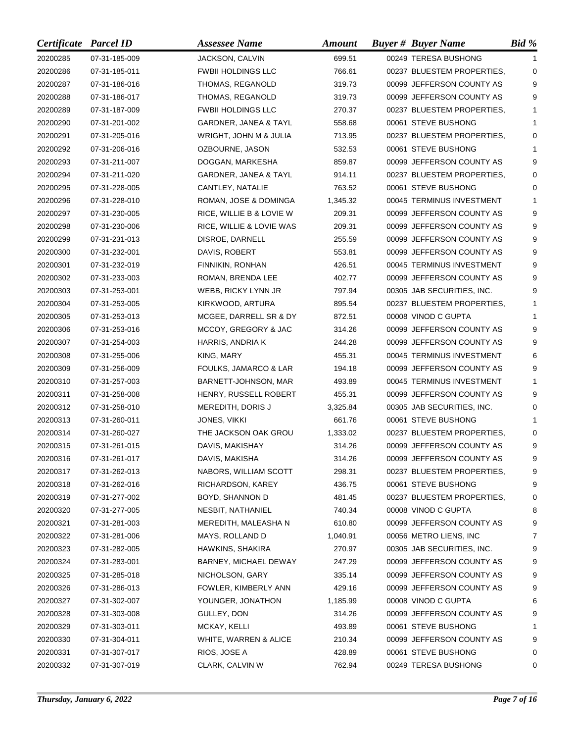| Certificate Parcel ID |               | <b>Assessee Name</b>      | <b>Amount</b> | <b>Buyer # Buyer Name</b>  | Bid %    |
|-----------------------|---------------|---------------------------|---------------|----------------------------|----------|
| 20200285              | 07-31-185-009 | JACKSON, CALVIN           | 699.51        | 00249 TERESA BUSHONG       | 1        |
| 20200286              | 07-31-185-011 | <b>FWBII HOLDINGS LLC</b> | 766.61        | 00237 BLUESTEM PROPERTIES, | 0        |
| 20200287              | 07-31-186-016 | THOMAS, REGANOLD          | 319.73        | 00099 JEFFERSON COUNTY AS  | 9        |
| 20200288              | 07-31-186-017 | THOMAS, REGANOLD          | 319.73        | 00099 JEFFERSON COUNTY AS  | 9        |
| 20200289              | 07-31-187-009 | <b>FWBII HOLDINGS LLC</b> | 270.37        | 00237 BLUESTEM PROPERTIES, | 1        |
| 20200290              | 07-31-201-002 | GARDNER, JANEA & TAYL     | 558.68        | 00061 STEVE BUSHONG        | 1        |
| 20200291              | 07-31-205-016 | WRIGHT, JOHN M & JULIA    | 713.95        | 00237 BLUESTEM PROPERTIES, | $\Omega$ |
| 20200292              | 07-31-206-016 | OZBOURNE, JASON           | 532.53        | 00061 STEVE BUSHONG        | 1        |
| 20200293              | 07-31-211-007 | DOGGAN, MARKESHA          | 859.87        | 00099 JEFFERSON COUNTY AS  | 9        |
| 20200294              | 07-31-211-020 | GARDNER, JANEA & TAYL     | 914.11        | 00237 BLUESTEM PROPERTIES, | $\Omega$ |
| 20200295              | 07-31-228-005 | CANTLEY, NATALIE          | 763.52        | 00061 STEVE BUSHONG        | 0        |
| 20200296              | 07-31-228-010 | ROMAN, JOSE & DOMINGA     | 1,345.32      | 00045 TERMINUS INVESTMENT  | 1        |
| 20200297              | 07-31-230-005 | RICE, WILLIE B & LOVIE W  | 209.31        | 00099 JEFFERSON COUNTY AS  | 9        |
| 20200298              | 07-31-230-006 | RICE, WILLIE & LOVIE WAS  | 209.31        | 00099 JEFFERSON COUNTY AS  | 9        |
| 20200299              | 07-31-231-013 | DISROE, DARNELL           | 255.59        | 00099 JEFFERSON COUNTY AS  | 9        |
| 20200300              | 07-31-232-001 | DAVIS, ROBERT             | 553.81        | 00099 JEFFERSON COUNTY AS  | 9        |
| 20200301              | 07-31-232-019 | FINNIKIN, RONHAN          | 426.51        | 00045 TERMINUS INVESTMENT  | 9        |
| 20200302              | 07-31-233-003 | ROMAN, BRENDA LEE         | 402.77        | 00099 JEFFERSON COUNTY AS  | 9        |
| 20200303              | 07-31-253-001 | WEBB, RICKY LYNN JR       | 797.94        | 00305 JAB SECURITIES, INC. | 9        |
| 20200304              | 07-31-253-005 | KIRKWOOD, ARTURA          | 895.54        | 00237 BLUESTEM PROPERTIES, | 1        |
| 20200305              | 07-31-253-013 | MCGEE, DARRELL SR & DY    | 872.51        | 00008 VINOD C GUPTA        | 1        |
| 20200306              | 07-31-253-016 | MCCOY, GREGORY & JAC      | 314.26        | 00099 JEFFERSON COUNTY AS  | 9        |
| 20200307              | 07-31-254-003 | HARRIS, ANDRIA K          | 244.28        | 00099 JEFFERSON COUNTY AS  | 9        |
| 20200308              | 07-31-255-006 | KING, MARY                | 455.31        | 00045 TERMINUS INVESTMENT  | 6        |
| 20200309              | 07-31-256-009 | FOULKS, JAMARCO & LAR     | 194.18        | 00099 JEFFERSON COUNTY AS  | 9        |
| 20200310              | 07-31-257-003 | BARNETT-JOHNSON, MAR      | 493.89        | 00045 TERMINUS INVESTMENT  | 1        |
| 20200311              | 07-31-258-008 | HENRY, RUSSELL ROBERT     | 455.31        | 00099 JEFFERSON COUNTY AS  | 9        |
| 20200312              | 07-31-258-010 | MEREDITH, DORIS J         | 3,325.84      | 00305 JAB SECURITIES, INC. | 0        |
| 20200313              | 07-31-260-011 | JONES, VIKKI              | 661.76        | 00061 STEVE BUSHONG        | 1        |
| 20200314              | 07-31-260-027 | THE JACKSON OAK GROU      | 1,333.02      | 00237 BLUESTEM PROPERTIES, | 0        |
| 20200315              | 07-31-261-015 | DAVIS, MAKISHAY           | 314.26        | 00099 JEFFERSON COUNTY AS  | 9        |
| 20200316              | 07-31-261-017 | DAVIS, MAKISHA            | 314.26        | 00099 JEFFERSON COUNTY AS  | g        |
| 20200317              | 07-31-262-013 | NABORS, WILLIAM SCOTT     | 298.31        | 00237 BLUESTEM PROPERTIES, | 9        |
| 20200318              | 07-31-262-016 | RICHARDSON, KAREY         | 436.75        | 00061 STEVE BUSHONG        | 9        |
| 20200319              | 07-31-277-002 | BOYD, SHANNON D           | 481.45        | 00237 BLUESTEM PROPERTIES, | 0        |
| 20200320              | 07-31-277-005 | NESBIT, NATHANIEL         | 740.34        | 00008 VINOD C GUPTA        | 8        |
| 20200321              | 07-31-281-003 | MEREDITH, MALEASHA N      | 610.80        | 00099 JEFFERSON COUNTY AS  | 9        |
| 20200322              | 07-31-281-006 | MAYS, ROLLAND D           | 1,040.91      | 00056 METRO LIENS, INC     | 7        |
| 20200323              | 07-31-282-005 | HAWKINS, SHAKIRA          | 270.97        | 00305 JAB SECURITIES, INC. | 9        |
| 20200324              | 07-31-283-001 | BARNEY, MICHAEL DEWAY     | 247.29        | 00099 JEFFERSON COUNTY AS  | 9        |
| 20200325              | 07-31-285-018 | NICHOLSON, GARY           | 335.14        | 00099 JEFFERSON COUNTY AS  | 9        |
| 20200326              | 07-31-286-013 | FOWLER, KIMBERLY ANN      | 429.16        | 00099 JEFFERSON COUNTY AS  | 9        |
| 20200327              | 07-31-302-007 | YOUNGER, JONATHON         | 1,185.99      | 00008 VINOD C GUPTA        | 6        |
| 20200328              | 07-31-303-008 | GULLEY, DON               | 314.26        | 00099 JEFFERSON COUNTY AS  | 9        |
| 20200329              | 07-31-303-011 | MCKAY, KELLI              | 493.89        | 00061 STEVE BUSHONG        | 1        |
| 20200330              | 07-31-304-011 | WHITE, WARREN & ALICE     | 210.34        | 00099 JEFFERSON COUNTY AS  | 9        |
| 20200331              | 07-31-307-017 | RIOS, JOSE A              | 428.89        | 00061 STEVE BUSHONG        | 0        |
| 20200332              | 07-31-307-019 | CLARK, CALVIN W           | 762.94        | 00249 TERESA BUSHONG       | 0        |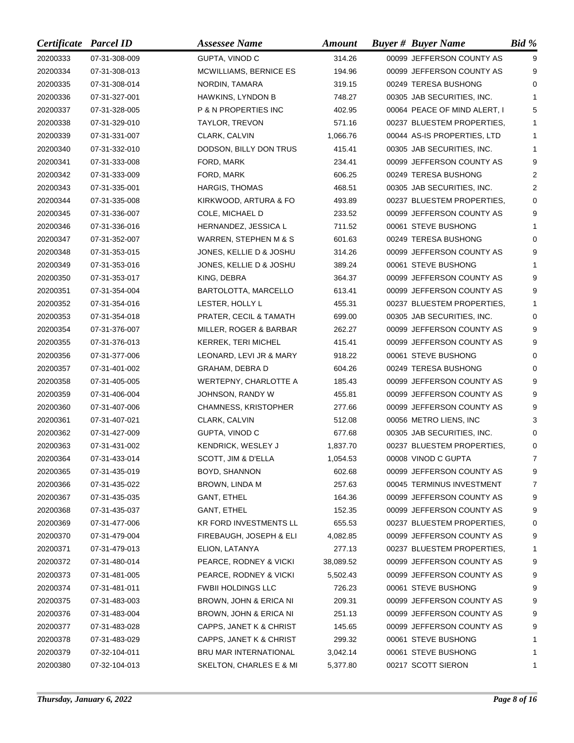| Certificate Parcel ID |               | <b>Assessee Name</b>            | <b>Amount</b> | <b>Buyer # Buyer Name</b>    | Bid %          |
|-----------------------|---------------|---------------------------------|---------------|------------------------------|----------------|
| 20200333              | 07-31-308-009 | GUPTA, VINOD C                  | 314.26        | 00099 JEFFERSON COUNTY AS    | 9              |
| 20200334              | 07-31-308-013 | MCWILLIAMS, BERNICE ES          | 194.96        | 00099 JEFFERSON COUNTY AS    | 9              |
| 20200335              | 07-31-308-014 | NORDIN, TAMARA                  | 319.15        | 00249 TERESA BUSHONG         | $\Omega$       |
| 20200336              | 07-31-327-001 | <b>HAWKINS, LYNDON B</b>        | 748.27        | 00305 JAB SECURITIES, INC.   | 1              |
| 20200337              | 07-31-328-005 | <b>P &amp; N PROPERTIES INC</b> | 402.95        | 00064 PEACE OF MIND ALERT, I | 5              |
| 20200338              | 07-31-329-010 | TAYLOR, TREVON                  | 571.16        | 00237 BLUESTEM PROPERTIES,   | 1              |
| 20200339              | 07-31-331-007 | CLARK, CALVIN                   | 1,066.76      | 00044 AS-IS PROPERTIES, LTD  | 1              |
| 20200340              | 07-31-332-010 | DODSON, BILLY DON TRUS          | 415.41        | 00305 JAB SECURITIES, INC.   | 1              |
| 20200341              | 07-31-333-008 | FORD, MARK                      | 234.41        | 00099 JEFFERSON COUNTY AS    | 9              |
| 20200342              | 07-31-333-009 | FORD, MARK                      | 606.25        | 00249 TERESA BUSHONG         | 2              |
| 20200343              | 07-31-335-001 | HARGIS, THOMAS                  | 468.51        | 00305 JAB SECURITIES, INC.   | 2              |
| 20200344              | 07-31-335-008 | KIRKWOOD, ARTURA & FO           | 493.89        | 00237 BLUESTEM PROPERTIES,   | $\Omega$       |
| 20200345              | 07-31-336-007 | COLE, MICHAEL D                 | 233.52        | 00099 JEFFERSON COUNTY AS    | 9              |
| 20200346              | 07-31-336-016 | HERNANDEZ, JESSICA L            | 711.52        | 00061 STEVE BUSHONG          | 1              |
| 20200347              | 07-31-352-007 | WARREN, STEPHEN M & S           | 601.63        | 00249 TERESA BUSHONG         | 0              |
| 20200348              | 07-31-353-015 | JONES, KELLIE D & JOSHU         | 314.26        | 00099 JEFFERSON COUNTY AS    | 9              |
| 20200349              | 07-31-353-016 | JONES, KELLIE D & JOSHU         | 389.24        | 00061 STEVE BUSHONG          |                |
| 20200350              | 07-31-353-017 | KING, DEBRA                     | 364.37        | 00099 JEFFERSON COUNTY AS    | 9              |
| 20200351              | 07-31-354-004 | BARTOLOTTA, MARCELLO            | 613.41        | 00099 JEFFERSON COUNTY AS    | 9              |
| 20200352              | 07-31-354-016 | LESTER, HOLLY L                 | 455.31        | 00237 BLUESTEM PROPERTIES,   | 1              |
| 20200353              | 07-31-354-018 | PRATER, CECIL & TAMATH          | 699.00        | 00305 JAB SECURITIES, INC.   | 0              |
| 20200354              | 07-31-376-007 | MILLER, ROGER & BARBAR          | 262.27        | 00099 JEFFERSON COUNTY AS    | 9              |
| 20200355              | 07-31-376-013 | <b>KERREK, TERI MICHEL</b>      | 415.41        | 00099 JEFFERSON COUNTY AS    | 9              |
| 20200356              | 07-31-377-006 | LEONARD, LEVI JR & MARY         | 918.22        | 00061 STEVE BUSHONG          | 0              |
| 20200357              | 07-31-401-002 | GRAHAM, DEBRA D                 | 604.26        | 00249 TERESA BUSHONG         | 0              |
| 20200358              | 07-31-405-005 | WERTEPNY, CHARLOTTE A           | 185.43        | 00099 JEFFERSON COUNTY AS    | 9              |
| 20200359              | 07-31-406-004 | JOHNSON, RANDY W                | 455.81        | 00099 JEFFERSON COUNTY AS    | 9              |
| 20200360              | 07-31-407-006 | <b>CHAMNESS, KRISTOPHER</b>     | 277.66        | 00099 JEFFERSON COUNTY AS    | 9              |
| 20200361              | 07-31-407-021 | CLARK, CALVIN                   | 512.08        | 00056 METRO LIENS, INC       | 3              |
| 20200362              | 07-31-427-009 | GUPTA, VINOD C                  | 677.68        | 00305 JAB SECURITIES, INC.   | 0              |
| 20200363              | 07-31-431-002 | KENDRICK, WESLEY J              | 1,837.70      | 00237 BLUESTEM PROPERTIES,   | 0              |
| 20200364              | 07-31-433-014 | SCOTT, JIM & D'ELLA             | 1,054.53      | 00008 VINOD C GUPTA          | $\overline{7}$ |
| 20200365              | 07-31-435-019 | BOYD, SHANNON                   | 602.68        | 00099 JEFFERSON COUNTY AS    | 9              |
| 20200366              | 07-31-435-022 | BROWN, LINDA M                  | 257.63        | 00045 TERMINUS INVESTMENT    | 7              |
| 20200367              | 07-31-435-035 | GANT, ETHEL                     | 164.36        | 00099 JEFFERSON COUNTY AS    | 9              |
| 20200368              | 07-31-435-037 | GANT, ETHEL                     | 152.35        | 00099 JEFFERSON COUNTY AS    | 9              |
| 20200369              | 07-31-477-006 | <b>KR FORD INVESTMENTS LL</b>   | 655.53        | 00237 BLUESTEM PROPERTIES,   | 0              |
| 20200370              | 07-31-479-004 | FIREBAUGH, JOSEPH & ELI         | 4,082.85      | 00099 JEFFERSON COUNTY AS    | 9              |
| 20200371              | 07-31-479-013 | ELION, LATANYA                  | 277.13        | 00237 BLUESTEM PROPERTIES,   | 1              |
| 20200372              | 07-31-480-014 | PEARCE, RODNEY & VICKI          | 38,089.52     | 00099 JEFFERSON COUNTY AS    | 9              |
| 20200373              | 07-31-481-005 | PEARCE, RODNEY & VICKI          | 5,502.43      | 00099 JEFFERSON COUNTY AS    | 9              |
| 20200374              | 07-31-481-011 | <b>FWBII HOLDINGS LLC</b>       | 726.23        | 00061 STEVE BUSHONG          | 9              |
| 20200375              | 07-31-483-003 | BROWN, JOHN & ERICA NI          | 209.31        | 00099 JEFFERSON COUNTY AS    | 9              |
| 20200376              | 07-31-483-004 | BROWN, JOHN & ERICA NI          | 251.13        | 00099 JEFFERSON COUNTY AS    | 9              |
| 20200377              | 07-31-483-028 | CAPPS, JANET K & CHRIST         | 145.65        | 00099 JEFFERSON COUNTY AS    | 9              |
| 20200378              | 07-31-483-029 | CAPPS, JANET K & CHRIST         | 299.32        | 00061 STEVE BUSHONG          | 1              |
| 20200379              | 07-32-104-011 | BRU MAR INTERNATIONAL           | 3,042.14      | 00061 STEVE BUSHONG          | 1              |
| 20200380              | 07-32-104-013 | SKELTON, CHARLES E & MI         | 5,377.80      | 00217 SCOTT SIERON           | 1              |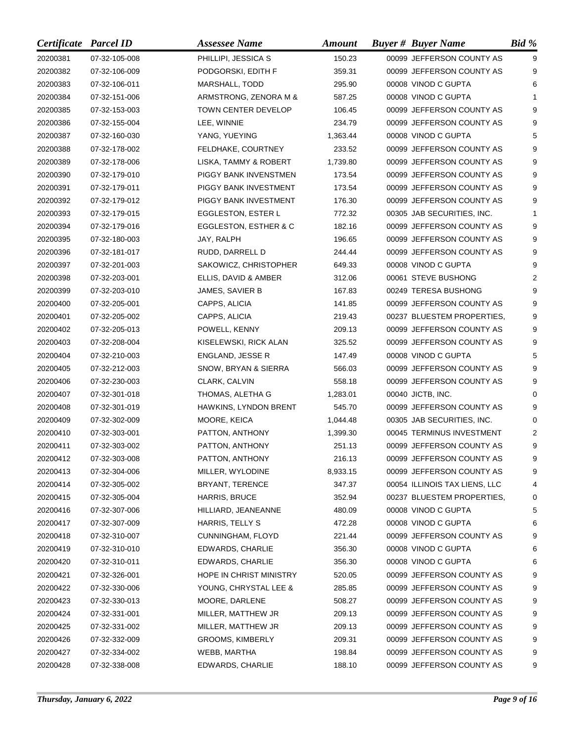| Certificate Parcel ID |               | <b>Assessee Name</b>             | <b>Amount</b> | <b>Buyer # Buyer Name</b>     | Bid %    |
|-----------------------|---------------|----------------------------------|---------------|-------------------------------|----------|
| 20200381              | 07-32-105-008 | PHILLIPI, JESSICA S              | 150.23        | 00099 JEFFERSON COUNTY AS     | 9        |
| 20200382              | 07-32-106-009 | PODGORSKI, EDITH F               | 359.31        | 00099 JEFFERSON COUNTY AS     | 9        |
| 20200383              | 07-32-106-011 | MARSHALL, TODD                   | 295.90        | 00008 VINOD C GUPTA           | 6        |
| 20200384              | 07-32-151-006 | ARMSTRONG, ZENORA M &            | 587.25        | 00008 VINOD C GUPTA           |          |
| 20200385              | 07-32-153-003 | TOWN CENTER DEVELOP              | 106.45        | 00099 JEFFERSON COUNTY AS     | 9        |
| 20200386              | 07-32-155-004 | LEE, WINNIE                      | 234.79        | 00099 JEFFERSON COUNTY AS     | 9        |
| 20200387              | 07-32-160-030 | YANG, YUEYING                    | 1,363.44      | 00008 VINOD C GUPTA           | 5        |
| 20200388              | 07-32-178-002 | FELDHAKE, COURTNEY               | 233.52        | 00099 JEFFERSON COUNTY AS     | 9        |
| 20200389              | 07-32-178-006 | LISKA, TAMMY & ROBERT            | 1,739.80      | 00099 JEFFERSON COUNTY AS     | 9        |
| 20200390              | 07-32-179-010 | PIGGY BANK INVENSTMEN            | 173.54        | 00099 JEFFERSON COUNTY AS     | 9        |
| 20200391              | 07-32-179-011 | PIGGY BANK INVESTMENT            | 173.54        | 00099 JEFFERSON COUNTY AS     | 9        |
| 20200392              | 07-32-179-012 | PIGGY BANK INVESTMENT            | 176.30        | 00099 JEFFERSON COUNTY AS     | 9        |
| 20200393              | 07-32-179-015 | EGGLESTON, ESTER L               | 772.32        | 00305 JAB SECURITIES, INC.    | 1        |
| 20200394              | 07-32-179-016 | <b>EGGLESTON, ESTHER &amp; C</b> | 182.16        | 00099 JEFFERSON COUNTY AS     | 9        |
| 20200395              | 07-32-180-003 | JAY, RALPH                       | 196.65        | 00099 JEFFERSON COUNTY AS     | 9        |
| 20200396              | 07-32-181-017 | RUDD, DARRELL D                  | 244.44        | 00099 JEFFERSON COUNTY AS     | 9        |
| 20200397              | 07-32-201-003 | SAKOWICZ, CHRISTOPHER            | 649.33        | 00008 VINOD C GUPTA           | 9        |
| 20200398              | 07-32-203-001 | ELLIS, DAVID & AMBER             | 312.06        | 00061 STEVE BUSHONG           | 2        |
| 20200399              | 07-32-203-010 | JAMES, SAVIER B                  | 167.83        | 00249 TERESA BUSHONG          | 9        |
| 20200400              | 07-32-205-001 | CAPPS, ALICIA                    | 141.85        | 00099 JEFFERSON COUNTY AS     | 9        |
| 20200401              | 07-32-205-002 | CAPPS, ALICIA                    | 219.43        | 00237 BLUESTEM PROPERTIES,    | 9        |
| 20200402              | 07-32-205-013 | POWELL, KENNY                    | 209.13        | 00099 JEFFERSON COUNTY AS     | 9        |
| 20200403              | 07-32-208-004 | KISELEWSKI, RICK ALAN            | 325.52        | 00099 JEFFERSON COUNTY AS     | 9        |
| 20200404              | 07-32-210-003 | ENGLAND, JESSE R                 | 147.49        | 00008 VINOD C GUPTA           | 5        |
| 20200405              | 07-32-212-003 | SNOW, BRYAN & SIERRA             | 566.03        | 00099 JEFFERSON COUNTY AS     | 9        |
| 20200406              | 07-32-230-003 | CLARK, CALVIN                    | 558.18        | 00099 JEFFERSON COUNTY AS     | 9        |
| 20200407              | 07-32-301-018 | THOMAS, ALETHA G                 | 1,283.01      | 00040 JICTB, INC.             | $\Omega$ |
| 20200408              | 07-32-301-019 | HAWKINS, LYNDON BRENT            | 545.70        | 00099 JEFFERSON COUNTY AS     | 9        |
| 20200409              | 07-32-302-009 | MOORE, KEICA                     | 1,044.48      | 00305 JAB SECURITIES, INC.    | 0        |
| 20200410              | 07-32-303-001 | PATTON, ANTHONY                  | 1,399.30      | 00045 TERMINUS INVESTMENT     | 2        |
| 20200411              | 07-32-303-002 | PATTON, ANTHONY                  | 251.13        | 00099 JEFFERSON COUNTY AS     | 9        |
| 20200412              | 07-32-303-008 | PATTON, ANTHONY                  | 216.13        | 00099 JEFFERSON COUNTY AS     | 9.       |
| 20200413              | 07-32-304-006 | MILLER, WYLODINE                 | 8,933.15      | 00099 JEFFERSON COUNTY AS     | 9        |
| 20200414              | 07-32-305-002 | BRYANT, TERENCE                  | 347.37        | 00054 ILLINOIS TAX LIENS, LLC | 4        |
| 20200415              | 07-32-305-004 | HARRIS, BRUCE                    | 352.94        | 00237 BLUESTEM PROPERTIES,    | 0        |
| 20200416              | 07-32-307-006 | HILLIARD, JEANEANNE              | 480.09        | 00008 VINOD C GUPTA           | 5        |
| 20200417              | 07-32-307-009 | HARRIS, TELLY S                  | 472.28        | 00008 VINOD C GUPTA           | 6        |
| 20200418              | 07-32-310-007 | CUNNINGHAM, FLOYD                | 221.44        | 00099 JEFFERSON COUNTY AS     | 9        |
| 20200419              | 07-32-310-010 | EDWARDS, CHARLIE                 | 356.30        | 00008 VINOD C GUPTA           | 6        |
| 20200420              | 07-32-310-011 | EDWARDS, CHARLIE                 | 356.30        | 00008 VINOD C GUPTA           | 6        |
| 20200421              | 07-32-326-001 | HOPE IN CHRIST MINISTRY          | 520.05        | 00099 JEFFERSON COUNTY AS     | 9        |
| 20200422              | 07-32-330-006 | YOUNG, CHRYSTAL LEE &            | 285.85        | 00099 JEFFERSON COUNTY AS     | 9        |
| 20200423              | 07-32-330-013 | MOORE, DARLENE                   | 508.27        | 00099 JEFFERSON COUNTY AS     | 9        |
| 20200424              | 07-32-331-001 | MILLER, MATTHEW JR               | 209.13        | 00099 JEFFERSON COUNTY AS     | 9        |
| 20200425              | 07-32-331-002 | MILLER, MATTHEW JR               | 209.13        | 00099 JEFFERSON COUNTY AS     | 9        |
| 20200426              | 07-32-332-009 | <b>GROOMS, KIMBERLY</b>          | 209.31        | 00099 JEFFERSON COUNTY AS     | 9        |
| 20200427              | 07-32-334-002 | WEBB, MARTHA                     | 198.84        | 00099 JEFFERSON COUNTY AS     | 9        |
| 20200428              | 07-32-338-008 | EDWARDS, CHARLIE                 | 188.10        | 00099 JEFFERSON COUNTY AS     | 9        |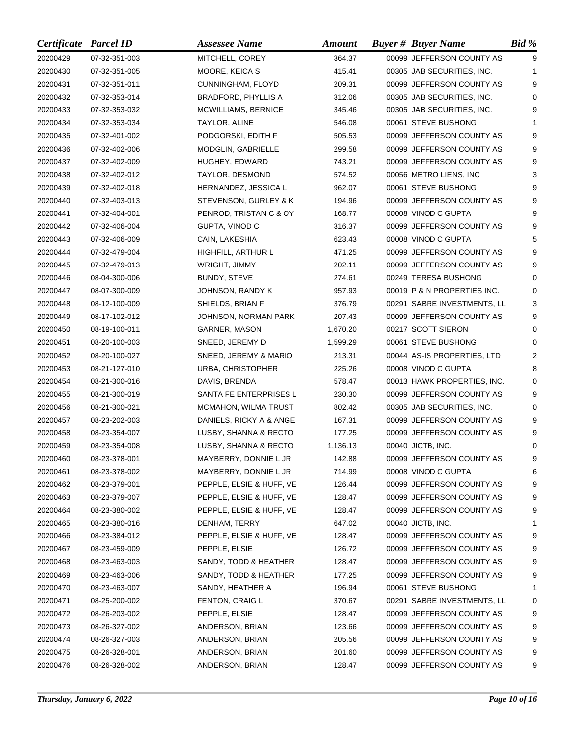| Certificate Parcel ID |               | <b>Assessee Name</b>       | <b>Amount</b> | <b>Buyer # Buyer Name</b>   | Bid %    |
|-----------------------|---------------|----------------------------|---------------|-----------------------------|----------|
| 20200429              | 07-32-351-003 | MITCHELL, COREY            | 364.37        | 00099 JEFFERSON COUNTY AS   | 9        |
| 20200430              | 07-32-351-005 | MOORE, KEICA S             | 415.41        | 00305 JAB SECURITIES, INC.  | 1        |
| 20200431              | 07-32-351-011 | CUNNINGHAM, FLOYD          | 209.31        | 00099 JEFFERSON COUNTY AS   | 9        |
| 20200432              | 07-32-353-014 | BRADFORD, PHYLLIS A        | 312.06        | 00305 JAB SECURITIES, INC.  | 0        |
| 20200433              | 07-32-353-032 | <b>MCWILLIAMS, BERNICE</b> | 345.46        | 00305 JAB SECURITIES, INC.  | 9        |
| 20200434              | 07-32-353-034 | TAYLOR, ALINE              | 546.08        | 00061 STEVE BUSHONG         | 1        |
| 20200435              | 07-32-401-002 | PODGORSKI, EDITH F         | 505.53        | 00099 JEFFERSON COUNTY AS   | 9        |
| 20200436              | 07-32-402-006 | <b>MODGLIN, GABRIELLE</b>  | 299.58        | 00099 JEFFERSON COUNTY AS   | 9        |
| 20200437              | 07-32-402-009 | HUGHEY, EDWARD             | 743.21        | 00099 JEFFERSON COUNTY AS   | 9        |
| 20200438              | 07-32-402-012 | TAYLOR, DESMOND            | 574.52        | 00056 METRO LIENS, INC      | 3        |
| 20200439              | 07-32-402-018 | HERNANDEZ, JESSICA L       | 962.07        | 00061 STEVE BUSHONG         | 9        |
| 20200440              | 07-32-403-013 | STEVENSON, GURLEY & K      | 194.96        | 00099 JEFFERSON COUNTY AS   | 9        |
| 20200441              | 07-32-404-001 | PENROD, TRISTAN C & OY     | 168.77        | 00008 VINOD C GUPTA         | 9        |
| 20200442              | 07-32-406-004 | GUPTA, VINOD C             | 316.37        | 00099 JEFFERSON COUNTY AS   | 9        |
| 20200443              | 07-32-406-009 | CAIN, LAKESHIA             | 623.43        | 00008 VINOD C GUPTA         | 5        |
| 20200444              | 07-32-479-004 | HIGHFILL, ARTHUR L         | 471.25        | 00099 JEFFERSON COUNTY AS   | 9        |
| 20200445              | 07-32-479-013 | WRIGHT, JIMMY              | 202.11        | 00099 JEFFERSON COUNTY AS   | 9        |
| 20200446              | 08-04-300-006 | BUNDY, STEVE               | 274.61        | 00249 TERESA BUSHONG        | 0        |
| 20200447              | 08-07-300-009 | JOHNSON, RANDY K           | 957.93        | 00019 P & N PROPERTIES INC. | 0        |
| 20200448              | 08-12-100-009 | SHIELDS, BRIAN F           | 376.79        | 00291 SABRE INVESTMENTS, LL | 3        |
| 20200449              | 08-17-102-012 | JOHNSON, NORMAN PARK       | 207.43        | 00099 JEFFERSON COUNTY AS   | 9        |
| 20200450              | 08-19-100-011 | GARNER, MASON              | 1,670.20      | 00217 SCOTT SIERON          | 0        |
| 20200451              | 08-20-100-003 | SNEED, JEREMY D            | 1,599.29      | 00061 STEVE BUSHONG         | $\Omega$ |
| 20200452              | 08-20-100-027 | SNEED, JEREMY & MARIO      | 213.31        | 00044 AS-IS PROPERTIES, LTD | 2        |
| 20200453              | 08-21-127-010 | URBA, CHRISTOPHER          | 225.26        | 00008 VINOD C GUPTA         | 8        |
| 20200454              | 08-21-300-016 | DAVIS, BRENDA              | 578.47        | 00013 HAWK PROPERTIES, INC. | $\Omega$ |
| 20200455              | 08-21-300-019 | SANTA FE ENTERPRISES L     | 230.30        | 00099 JEFFERSON COUNTY AS   | 9        |
| 20200456              | 08-21-300-021 | MCMAHON, WILMA TRUST       | 802.42        | 00305 JAB SECURITIES, INC.  | 0        |
| 20200457              | 08-23-202-003 | DANIELS, RICKY A & ANGE    | 167.31        | 00099 JEFFERSON COUNTY AS   | 9        |
| 20200458              | 08-23-354-007 | LUSBY, SHANNA & RECTO      | 177.25        | 00099 JEFFERSON COUNTY AS   | 9        |
| 20200459              | 08-23-354-008 | LUSBY, SHANNA & RECTO      | 1,136.13      | 00040 JICTB, INC.           | $\Omega$ |
| 20200460              | 08-23-378-001 | MAYBERRY, DONNIE L JR      | 142.88        | 00099 JEFFERSON COUNTY AS   | g        |
| 20200461              | 08-23-378-002 | MAYBERRY, DONNIE L JR      | 714.99        | 00008 VINOD C GUPTA         | 6        |
| 20200462              | 08-23-379-001 | PEPPLE, ELSIE & HUFF, VE   | 126.44        | 00099 JEFFERSON COUNTY AS   | 9        |
| 20200463              | 08-23-379-007 | PEPPLE, ELSIE & HUFF, VE   | 128.47        | 00099 JEFFERSON COUNTY AS   | 9        |
| 20200464              | 08-23-380-002 | PEPPLE, ELSIE & HUFF, VE   | 128.47        | 00099 JEFFERSON COUNTY AS   | 9        |
| 20200465              | 08-23-380-016 | DENHAM, TERRY              | 647.02        | 00040 JICTB, INC.           | 1        |
| 20200466              | 08-23-384-012 | PEPPLE, ELSIE & HUFF, VE   | 128.47        | 00099 JEFFERSON COUNTY AS   | 9        |
| 20200467              | 08-23-459-009 | PEPPLE, ELSIE              | 126.72        | 00099 JEFFERSON COUNTY AS   | 9        |
| 20200468              | 08-23-463-003 | SANDY, TODD & HEATHER      | 128.47        | 00099 JEFFERSON COUNTY AS   | 9        |
| 20200469              | 08-23-463-006 | SANDY, TODD & HEATHER      | 177.25        | 00099 JEFFERSON COUNTY AS   | 9        |
| 20200470              | 08-23-463-007 | SANDY, HEATHER A           | 196.94        | 00061 STEVE BUSHONG         | 1        |
| 20200471              | 08-25-200-002 | FENTON, CRAIG L            | 370.67        | 00291 SABRE INVESTMENTS, LL | 0        |
| 20200472              | 08-26-203-002 | PEPPLE, ELSIE              | 128.47        | 00099 JEFFERSON COUNTY AS   | 9        |
| 20200473              | 08-26-327-002 | ANDERSON, BRIAN            | 123.66        | 00099 JEFFERSON COUNTY AS   | 9        |
| 20200474              | 08-26-327-003 | ANDERSON, BRIAN            | 205.56        | 00099 JEFFERSON COUNTY AS   | 9        |
| 20200475              | 08-26-328-001 | ANDERSON, BRIAN            | 201.60        | 00099 JEFFERSON COUNTY AS   | 9        |
| 20200476              | 08-26-328-002 | ANDERSON, BRIAN            | 128.47        | 00099 JEFFERSON COUNTY AS   | 9        |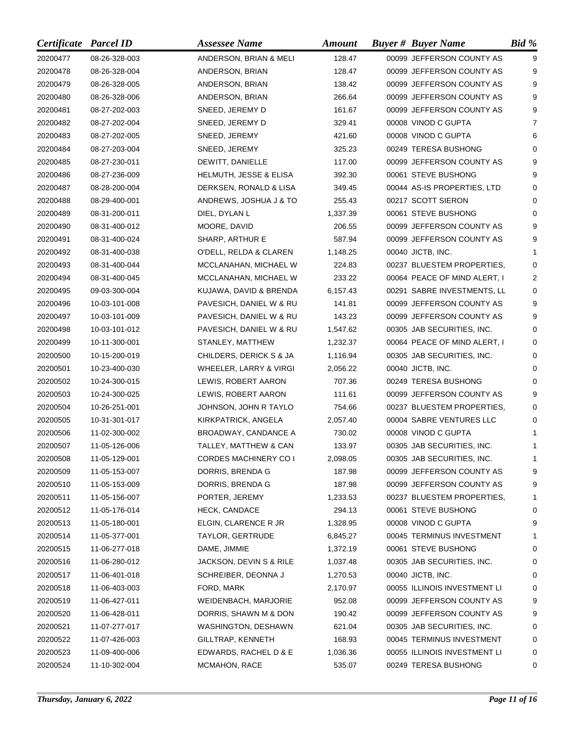| Certificate Parcel ID |               | <b>Assessee Name</b>              | <b>Amount</b> | <b>Buyer # Buyer Name</b>    | Bid %          |
|-----------------------|---------------|-----------------------------------|---------------|------------------------------|----------------|
| 20200477              | 08-26-328-003 | ANDERSON, BRIAN & MELI            | 128.47        | 00099 JEFFERSON COUNTY AS    | 9              |
| 20200478              | 08-26-328-004 | ANDERSON, BRIAN                   | 128.47        | 00099 JEFFERSON COUNTY AS    | 9              |
| 20200479              | 08-26-328-005 | ANDERSON, BRIAN                   | 138.42        | 00099 JEFFERSON COUNTY AS    | 9              |
| 20200480              | 08-26-328-006 | ANDERSON, BRIAN                   | 266.64        | 00099 JEFFERSON COUNTY AS    | 9              |
| 20200481              | 08-27-202-003 | SNEED, JEREMY D                   | 161.67        | 00099 JEFFERSON COUNTY AS    | 9              |
| 20200482              | 08-27-202-004 | SNEED, JEREMY D                   | 329.41        | 00008 VINOD C GUPTA          | $\overline{7}$ |
| 20200483              | 08-27-202-005 | SNEED, JEREMY                     | 421.60        | 00008 VINOD C GUPTA          | 6              |
| 20200484              | 08-27-203-004 | SNEED, JEREMY                     | 325.23        | 00249 TERESA BUSHONG         | 0              |
| 20200485              | 08-27-230-011 | DEWITT, DANIELLE                  | 117.00        | 00099 JEFFERSON COUNTY AS    | 9              |
| 20200486              | 08-27-236-009 | <b>HELMUTH, JESSE &amp; ELISA</b> | 392.30        | 00061 STEVE BUSHONG          | 9              |
| 20200487              | 08-28-200-004 | DERKSEN, RONALD & LISA            | 349.45        | 00044 AS-IS PROPERTIES, LTD  | 0              |
| 20200488              | 08-29-400-001 | ANDREWS, JOSHUA J & TO            | 255.43        | 00217 SCOTT SIERON           | 0              |
| 20200489              | 08-31-200-011 | DIEL, DYLAN L                     | 1,337.39      | 00061 STEVE BUSHONG          | $\Omega$       |
| 20200490              | 08-31-400-012 | MOORE, DAVID                      | 206.55        | 00099 JEFFERSON COUNTY AS    | 9              |
| 20200491              | 08-31-400-024 | SHARP, ARTHUR E                   | 587.94        | 00099 JEFFERSON COUNTY AS    | 9              |
| 20200492              | 08-31-400-038 | O'DELL, RELDA & CLAREN            | 1,148.25      | 00040 JICTB, INC.            | 1              |
| 20200493              | 08-31-400-044 | MCCLANAHAN, MICHAEL W             | 224.83        | 00237 BLUESTEM PROPERTIES,   | 0              |
| 20200494              | 08-31-400-045 | MCCLANAHAN, MICHAEL W             | 233.22        | 00064 PEACE OF MIND ALERT, I | 2              |
| 20200495              | 09-03-300-004 | KUJAWA, DAVID & BRENDA            | 6,157.43      | 00291 SABRE INVESTMENTS, LL  | 0              |
| 20200496              | 10-03-101-008 | PAVESICH, DANIEL W & RU           | 141.81        | 00099 JEFFERSON COUNTY AS    | 9              |
| 20200497              | 10-03-101-009 | PAVESICH, DANIEL W & RU           | 143.23        | 00099 JEFFERSON COUNTY AS    | 9              |
| 20200498              | 10-03-101-012 | PAVESICH, DANIEL W & RU           | 1,547.62      | 00305 JAB SECURITIES, INC.   | 0              |
| 20200499              | 10-11-300-001 | STANLEY, MATTHEW                  | 1,232.37      | 00064 PEACE OF MIND ALERT, I | 0              |
| 20200500              | 10-15-200-019 | CHILDERS, DERICK S & JA           | 1,116.94      | 00305 JAB SECURITIES, INC.   | 0              |
| 20200501              | 10-23-400-030 | WHEELER, LARRY & VIRGI            | 2,056.22      | 00040 JICTB, INC.            | 0              |
| 20200502              | 10-24-300-015 | LEWIS, ROBERT AARON               | 707.36        | 00249 TERESA BUSHONG         | $\Omega$       |
| 20200503              | 10-24-300-025 | LEWIS, ROBERT AARON               | 111.61        | 00099 JEFFERSON COUNTY AS    | 9              |
| 20200504              | 10-26-251-001 | JOHNSON, JOHN R TAYLO             | 754.66        | 00237 BLUESTEM PROPERTIES,   | 0              |
| 20200505              | 10-31-301-017 | KIRKPATRICK, ANGELA               | 2,057.40      | 00004 SABRE VENTURES LLC     | 0              |
| 20200506              | 11-02-300-002 | BROADWAY, CANDANCE A              | 730.02        | 00008 VINOD C GUPTA          | 1              |
| 20200507              | 11-05-126-006 | TALLEY, MATTHEW & CAN             | 133.97        | 00305 JAB SECURITIES, INC.   | 1              |
| 20200508              | 11-05-129-001 | CORDES MACHINERY CO I             | 2,098.05      | 00305 JAB SECURITIES, INC.   | 1              |
| 20200509              | 11-05-153-007 | DORRIS, BRENDA G                  | 187.98        | 00099 JEFFERSON COUNTY AS    | 9              |
| 20200510              | 11-05-153-009 | DORRIS, BRENDA G                  | 187.98        | 00099 JEFFERSON COUNTY AS    | 9              |
| 20200511              | 11-05-156-007 | PORTER, JEREMY                    | 1,233.53      | 00237 BLUESTEM PROPERTIES,   | 1              |
| 20200512              | 11-05-176-014 | <b>HECK, CANDACE</b>              | 294.13        | 00061 STEVE BUSHONG          | 0              |
| 20200513              | 11-05-180-001 | ELGIN, CLARENCE R JR              | 1,328.95      | 00008 VINOD C GUPTA          | 9              |
| 20200514              | 11-05-377-001 | TAYLOR, GERTRUDE                  | 6,845.27      | 00045 TERMINUS INVESTMENT    | 1              |
| 20200515              | 11-06-277-018 | DAME, JIMMIE                      | 1,372.19      | 00061 STEVE BUSHONG          | 0              |
| 20200516              | 11-06-280-012 | JACKSON, DEVIN S & RILE           | 1,037.48      | 00305 JAB SECURITIES, INC.   | 0              |
| 20200517              | 11-06-401-018 | SCHREIBER, DEONNA J               | 1,270.53      | 00040 JICTB, INC.            | 0              |
| 20200518              | 11-06-403-003 | FORD, MARK                        | 2,170.97      | 00055 ILLINOIS INVESTMENT LI | 0              |
| 20200519              | 11-06-427-011 | WEIDENBACH, MARJORIE              | 952.08        | 00099 JEFFERSON COUNTY AS    | 9              |
| 20200520              | 11-06-428-011 | DORRIS, SHAWN M & DON             | 190.42        | 00099 JEFFERSON COUNTY AS    | 9              |
| 20200521              | 11-07-277-017 | WASHINGTON, DESHAWN               | 621.04        | 00305 JAB SECURITIES, INC.   | 0              |
| 20200522              | 11-07-426-003 | GILLTRAP, KENNETH                 | 168.93        | 00045 TERMINUS INVESTMENT    | 0              |
| 20200523              | 11-09-400-006 | EDWARDS, RACHEL D & E             | 1,036.36      | 00055 ILLINOIS INVESTMENT LI | 0              |
| 20200524              | 11-10-302-004 | MCMAHON, RACE                     | 535.07        | 00249 TERESA BUSHONG         | 0              |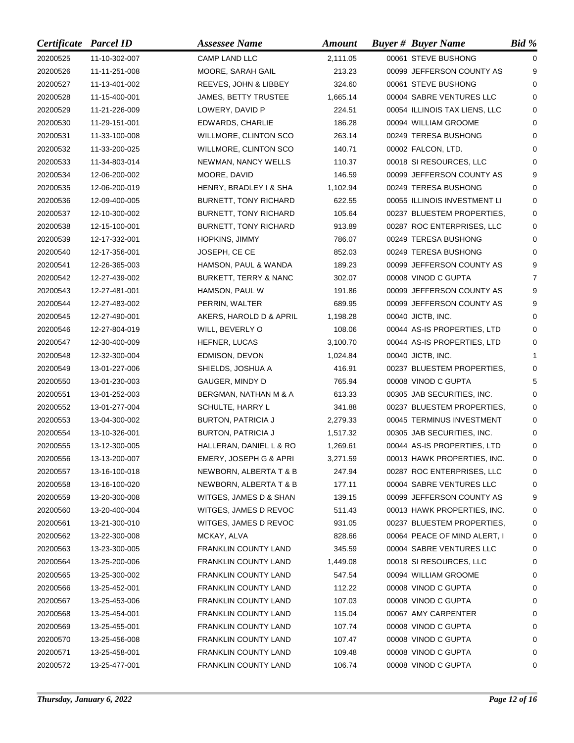| Certificate Parcel ID |               | <b>Assessee Name</b>             | <b>Amount</b> | <b>Buyer # Buyer Name</b>     | Bid %       |
|-----------------------|---------------|----------------------------------|---------------|-------------------------------|-------------|
| 20200525              | 11-10-302-007 | CAMP LAND LLC                    | 2,111.05      | 00061 STEVE BUSHONG           | 0           |
| 20200526              | 11-11-251-008 | MOORE, SARAH GAIL                | 213.23        | 00099 JEFFERSON COUNTY AS     | 9           |
| 20200527              | 11-13-401-002 | REEVES, JOHN & LIBBEY            | 324.60        | 00061 STEVE BUSHONG           | $\Omega$    |
| 20200528              | 11-15-400-001 | JAMES, BETTY TRUSTEE             | 1,665.14      | 00004 SABRE VENTURES LLC      | $\Omega$    |
| 20200529              | 11-21-226-009 | LOWERY, DAVID P                  | 224.51        | 00054 ILLINOIS TAX LIENS, LLC | 0           |
| 20200530              | 11-29-151-001 | EDWARDS, CHARLIE                 | 186.28        | 00094 WILLIAM GROOME          | 0           |
| 20200531              | 11-33-100-008 | WILLMORE, CLINTON SCO            | 263.14        | 00249 TERESA BUSHONG          | $\Omega$    |
| 20200532              | 11-33-200-025 | WILLMORE, CLINTON SCO            | 140.71        | 00002 FALCON, LTD.            | 0           |
| 20200533              | 11-34-803-014 | NEWMAN, NANCY WELLS              | 110.37        | 00018 SI RESOURCES, LLC       | 0           |
| 20200534              | 12-06-200-002 | MOORE, DAVID                     | 146.59        | 00099 JEFFERSON COUNTY AS     | 9           |
| 20200535              | 12-06-200-019 | HENRY, BRADLEY I & SHA           | 1,102.94      | 00249 TERESA BUSHONG          | 0           |
| 20200536              | 12-09-400-005 | BURNETT, TONY RICHARD            | 622.55        | 00055 ILLINOIS INVESTMENT LI  | 0           |
| 20200537              | 12-10-300-002 | BURNETT, TONY RICHARD            | 105.64        | 00237 BLUESTEM PROPERTIES,    | $\mathbf 0$ |
| 20200538              | 12-15-100-001 | <b>BURNETT, TONY RICHARD</b>     | 913.89        | 00287 ROC ENTERPRISES, LLC    | $\Omega$    |
| 20200539              | 12-17-332-001 | HOPKINS, JIMMY                   | 786.07        | 00249 TERESA BUSHONG          | 0           |
| 20200540              | 12-17-356-001 | JOSEPH, CE CE                    | 852.03        | 00249 TERESA BUSHONG          | 0           |
| 20200541              | 12-26-365-003 | HAMSON, PAUL & WANDA             | 189.23        | 00099 JEFFERSON COUNTY AS     | 9           |
| 20200542              | 12-27-439-002 | <b>BURKETT, TERRY &amp; NANC</b> | 302.07        | 00008 VINOD C GUPTA           | 7           |
| 20200543              | 12-27-481-001 | HAMSON, PAUL W                   | 191.86        | 00099 JEFFERSON COUNTY AS     | 9           |
| 20200544              | 12-27-483-002 | PERRIN, WALTER                   | 689.95        | 00099 JEFFERSON COUNTY AS     | 9           |
| 20200545              | 12-27-490-001 | AKERS, HAROLD D & APRIL          | 1,198.28      | 00040 JICTB, INC.             | $\Omega$    |
| 20200546              | 12-27-804-019 | WILL, BEVERLY O                  | 108.06        | 00044 AS-IS PROPERTIES, LTD   | 0           |
| 20200547              | 12-30-400-009 | HEFNER, LUCAS                    | 3,100.70      | 00044 AS-IS PROPERTIES, LTD   | 0           |
| 20200548              | 12-32-300-004 | EDMISON, DEVON                   | 1,024.84      | 00040 JICTB, INC.             | 1           |
| 20200549              | 13-01-227-006 | SHIELDS, JOSHUA A                | 416.91        | 00237 BLUESTEM PROPERTIES,    | 0           |
| 20200550              | 13-01-230-003 | GAUGER, MINDY D                  | 765.94        | 00008 VINOD C GUPTA           | 5           |
| 20200551              | 13-01-252-003 | BERGMAN, NATHAN M & A            | 613.33        | 00305 JAB SECURITIES, INC.    | $\Omega$    |
| 20200552              | 13-01-277-004 | SCHULTE, HARRY L                 | 341.88        | 00237 BLUESTEM PROPERTIES,    | 0           |
| 20200553              | 13-04-300-002 | <b>BURTON, PATRICIA J</b>        | 2,279.33      | 00045 TERMINUS INVESTMENT     | 0           |
| 20200554              | 13-10-326-001 | <b>BURTON, PATRICIA J</b>        | 1,517.32      | 00305 JAB SECURITIES, INC.    | 0           |
| 20200555              | 13-12-300-005 | HALLERAN, DANIEL L & RO          | 1,269.61      | 00044 AS-IS PROPERTIES, LTD   | 0           |
| 20200556              | 13-13-200-007 | EMERY, JOSEPH G & APRI           | 3,271.59      | 00013 HAWK PROPERTIES, INC.   | $\Omega$    |
| 20200557              | 13-16-100-018 | NEWBORN, ALBERTA T & B           | 247.94        | 00287 ROC ENTERPRISES, LLC    | 0           |
| 20200558              | 13-16-100-020 | NEWBORN, ALBERTA T & B           | 177.11        | 00004 SABRE VENTURES LLC      | 0           |
| 20200559              | 13-20-300-008 | WITGES, JAMES D & SHAN           | 139.15        | 00099 JEFFERSON COUNTY AS     | 9           |
| 20200560              | 13-20-400-004 | WITGES, JAMES D REVOC            | 511.43        | 00013 HAWK PROPERTIES, INC.   | 0           |
| 20200561              | 13-21-300-010 | WITGES, JAMES D REVOC            | 931.05        | 00237 BLUESTEM PROPERTIES,    | 0           |
| 20200562              | 13-22-300-008 | MCKAY, ALVA                      | 828.66        | 00064 PEACE OF MIND ALERT, I  | 0           |
| 20200563              | 13-23-300-005 | <b>FRANKLIN COUNTY LAND</b>      | 345.59        | 00004 SABRE VENTURES LLC      | 0           |
| 20200564              | 13-25-200-006 | <b>FRANKLIN COUNTY LAND</b>      | 1,449.08      | 00018 SI RESOURCES, LLC       | 0           |
| 20200565              | 13-25-300-002 | FRANKLIN COUNTY LAND             | 547.54        | 00094 WILLIAM GROOME          | 0           |
| 20200566              | 13-25-452-001 | FRANKLIN COUNTY LAND             | 112.22        | 00008 VINOD C GUPTA           | 0           |
| 20200567              | 13-25-453-006 | <b>FRANKLIN COUNTY LAND</b>      | 107.03        | 00008 VINOD C GUPTA           | 0           |
| 20200568              | 13-25-454-001 | <b>FRANKLIN COUNTY LAND</b>      | 115.04        | 00067 AMY CARPENTER           | 0           |
| 20200569              | 13-25-455-001 | <b>FRANKLIN COUNTY LAND</b>      | 107.74        | 00008 VINOD C GUPTA           | 0           |
| 20200570              | 13-25-456-008 | <b>FRANKLIN COUNTY LAND</b>      | 107.47        | 00008 VINOD C GUPTA           | 0           |
| 20200571              | 13-25-458-001 | <b>FRANKLIN COUNTY LAND</b>      | 109.48        | 00008 VINOD C GUPTA           | 0           |
| 20200572              | 13-25-477-001 | FRANKLIN COUNTY LAND             | 106.74        | 00008 VINOD C GUPTA           | 0           |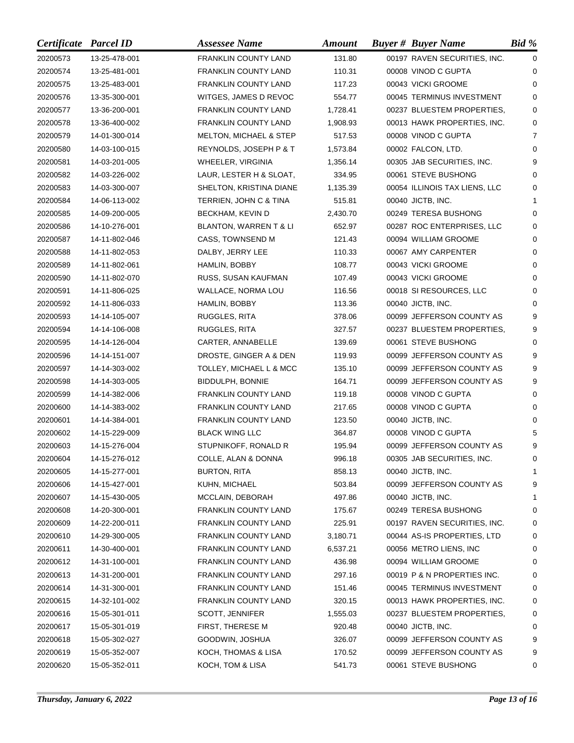| Certificate Parcel ID |               | <b>Assessee Name</b>              | <b>Amount</b> | <b>Buyer # Buyer Name</b>     | $Bid \mathcal{C}$ |
|-----------------------|---------------|-----------------------------------|---------------|-------------------------------|-------------------|
| 20200573              | 13-25-478-001 | <b>FRANKLIN COUNTY LAND</b>       | 131.80        | 00197 RAVEN SECURITIES, INC.  | $\mathbf 0$       |
| 20200574              | 13-25-481-001 | <b>FRANKLIN COUNTY LAND</b>       | 110.31        | 00008 VINOD C GUPTA           | 0                 |
| 20200575              | 13-25-483-001 | <b>FRANKLIN COUNTY LAND</b>       | 117.23        | 00043 VICKI GROOME            | $\Omega$          |
| 20200576              | 13-35-300-001 | WITGES, JAMES D REVOC             | 554.77        | 00045 TERMINUS INVESTMENT     | $\Omega$          |
| 20200577              | 13-36-200-001 | <b>FRANKLIN COUNTY LAND</b>       | 1,728.41      | 00237 BLUESTEM PROPERTIES,    | 0                 |
| 20200578              | 13-36-400-002 | <b>FRANKLIN COUNTY LAND</b>       | 1,908.93      | 00013 HAWK PROPERTIES, INC.   | 0                 |
| 20200579              | 14-01-300-014 | <b>MELTON, MICHAEL &amp; STEP</b> | 517.53        | 00008 VINOD C GUPTA           | $\overline{7}$    |
| 20200580              | 14-03-100-015 | REYNOLDS, JOSEPH P & T            | 1,573.84      | 00002 FALCON, LTD.            | 0                 |
| 20200581              | 14-03-201-005 | WHEELER, VIRGINIA                 | 1,356.14      | 00305 JAB SECURITIES, INC.    | 9                 |
| 20200582              | 14-03-226-002 | LAUR, LESTER H & SLOAT,           | 334.95        | 00061 STEVE BUSHONG           | 0                 |
| 20200583              | 14-03-300-007 | SHELTON, KRISTINA DIANE           | 1,135.39      | 00054 ILLINOIS TAX LIENS, LLC | 0                 |
| 20200584              | 14-06-113-002 | TERRIEN, JOHN C & TINA            | 515.81        | 00040 JICTB, INC.             | 1                 |
| 20200585              | 14-09-200-005 | BECKHAM, KEVIN D                  | 2,430.70      | 00249 TERESA BUSHONG          | $\Omega$          |
| 20200586              | 14-10-276-001 | BLANTON, WARREN T & LI            | 652.97        | 00287 ROC ENTERPRISES, LLC    | $\Omega$          |
| 20200587              | 14-11-802-046 | CASS, TOWNSEND M                  | 121.43        | 00094 WILLIAM GROOME          | 0                 |
| 20200588              | 14-11-802-053 | DALBY, JERRY LEE                  | 110.33        | 00067 AMY CARPENTER           | $\Omega$          |
| 20200589              | 14-11-802-061 | HAMLIN, BOBBY                     | 108.77        | 00043 VICKI GROOME            | 0                 |
| 20200590              | 14-11-802-070 | RUSS, SUSAN KAUFMAN               | 107.49        | 00043 VICKI GROOME            | 0                 |
| 20200591              | 14-11-806-025 | WALLACE, NORMA LOU                | 116.56        | 00018 SI RESOURCES, LLC       | 0                 |
| 20200592              | 14-11-806-033 | HAMLIN, BOBBY                     | 113.36        | 00040 JICTB, INC.             | $\Omega$          |
| 20200593              | 14-14-105-007 | RUGGLES, RITA                     | 378.06        | 00099 JEFFERSON COUNTY AS     | 9                 |
| 20200594              | 14-14-106-008 | RUGGLES, RITA                     | 327.57        | 00237 BLUESTEM PROPERTIES,    | 9                 |
| 20200595              | 14-14-126-004 | CARTER, ANNABELLE                 | 139.69        | 00061 STEVE BUSHONG           | $\Omega$          |
| 20200596              | 14-14-151-007 | DROSTE, GINGER A & DEN            | 119.93        | 00099 JEFFERSON COUNTY AS     | 9                 |
| 20200597              | 14-14-303-002 | TOLLEY, MICHAEL L & MCC           | 135.10        | 00099 JEFFERSON COUNTY AS     | 9                 |
| 20200598              | 14-14-303-005 | <b>BIDDULPH, BONNIE</b>           | 164.71        | 00099 JEFFERSON COUNTY AS     | 9                 |
| 20200599              | 14-14-382-006 | <b>FRANKLIN COUNTY LAND</b>       | 119.18        | 00008 VINOD C GUPTA           | 0                 |
| 20200600              | 14-14-383-002 | <b>FRANKLIN COUNTY LAND</b>       | 217.65        | 00008 VINOD C GUPTA           | 0                 |
| 20200601              | 14-14-384-001 | FRANKLIN COUNTY LAND              | 123.50        | 00040 JICTB, INC.             | 0                 |
| 20200602              | 14-15-229-009 | <b>BLACK WING LLC</b>             | 364.87        | 00008 VINOD C GUPTA           | 5                 |
| 20200603              | 14-15-276-004 | STUPNIKOFF, RONALD R              | 195.94        | 00099 JEFFERSON COUNTY AS     | 9                 |
| 20200604              | 14-15-276-012 | COLLE, ALAN & DONNA               | 996.18        | 00305 JAB SECURITIES, INC.    | $\Omega$          |
| 20200605              | 14-15-277-001 | BURTON, RITA                      | 858.13        | 00040 JICTB, INC.             | 1                 |
| 20200606              | 14-15-427-001 | KUHN, MICHAEL                     | 503.84        | 00099 JEFFERSON COUNTY AS     | 9                 |
| 20200607              | 14-15-430-005 | MCCLAIN, DEBORAH                  | 497.86        | 00040 JICTB, INC.             | 1                 |
| 20200608              | 14-20-300-001 | <b>FRANKLIN COUNTY LAND</b>       | 175.67        | 00249 TERESA BUSHONG          | 0                 |
| 20200609              | 14-22-200-011 | <b>FRANKLIN COUNTY LAND</b>       | 225.91        | 00197 RAVEN SECURITIES, INC.  | 0                 |
| 20200610              | 14-29-300-005 | <b>FRANKLIN COUNTY LAND</b>       | 3,180.71      | 00044 AS-IS PROPERTIES, LTD   | 0                 |
| 20200611              | 14-30-400-001 | <b>FRANKLIN COUNTY LAND</b>       | 6,537.21      | 00056 METRO LIENS, INC        | 0                 |
| 20200612              | 14-31-100-001 | <b>FRANKLIN COUNTY LAND</b>       | 436.98        | 00094 WILLIAM GROOME          | 0                 |
| 20200613              | 14-31-200-001 | FRANKLIN COUNTY LAND              | 297.16        | 00019 P & N PROPERTIES INC.   | 0                 |
| 20200614              | 14-31-300-001 | FRANKLIN COUNTY LAND              | 151.46        | 00045 TERMINUS INVESTMENT     | 0                 |
| 20200615              | 14-32-101-002 | <b>FRANKLIN COUNTY LAND</b>       | 320.15        | 00013 HAWK PROPERTIES, INC.   | 0                 |
| 20200616              | 15-05-301-011 | SCOTT, JENNIFER                   | 1,555.03      | 00237 BLUESTEM PROPERTIES,    | 0                 |
| 20200617              | 15-05-301-019 | FIRST, THERESE M                  | 920.48        | 00040 JICTB, INC.             | 0                 |
| 20200618              | 15-05-302-027 | GOODWIN, JOSHUA                   | 326.07        | 00099 JEFFERSON COUNTY AS     | 9                 |
| 20200619              | 15-05-352-007 | KOCH, THOMAS & LISA               | 170.52        | 00099 JEFFERSON COUNTY AS     | 9                 |
| 20200620              | 15-05-352-011 | KOCH, TOM & LISA                  | 541.73        | 00061 STEVE BUSHONG           | 0                 |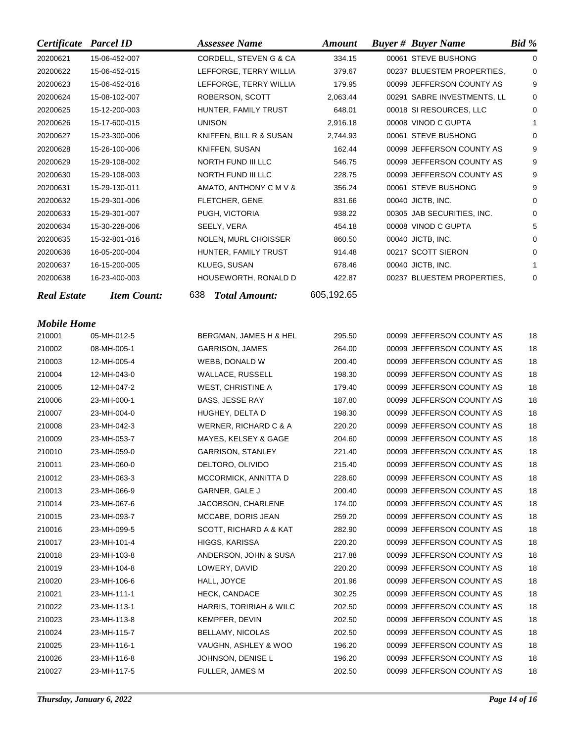| Certificate        | <b>Parcel ID</b>   |     | <b>Assessee Name</b>     | <b>Amount</b> | <b>Buyer # Buyer Name</b>   | <b>Bid</b> % |
|--------------------|--------------------|-----|--------------------------|---------------|-----------------------------|--------------|
| 20200621           | 15-06-452-007      |     | CORDELL, STEVEN G & CA   | 334.15        | 00061 STEVE BUSHONG         | 0            |
| 20200622           | 15-06-452-015      |     | LEFFORGE, TERRY WILLIA   | 379.67        | 00237 BLUESTEM PROPERTIES,  | 0            |
| 20200623           | 15-06-452-016      |     | LEFFORGE, TERRY WILLIA   | 179.95        | 00099 JEFFERSON COUNTY AS   | 9            |
| 20200624           | 15-08-102-007      |     | ROBERSON, SCOTT          | 2,063.44      | 00291 SABRE INVESTMENTS, LL | 0            |
| 20200625           | 15-12-200-003      |     | HUNTER, FAMILY TRUST     | 648.01        | 00018 SI RESOURCES, LLC     | 0            |
| 20200626           | 15-17-600-015      |     | UNISON                   | 2,916.18      | 00008 VINOD C GUPTA         | 1            |
| 20200627           | 15-23-300-006      |     | KNIFFEN, BILL R & SUSAN  | 2,744.93      | 00061 STEVE BUSHONG         | $\Omega$     |
| 20200628           | 15-26-100-006      |     | KNIFFEN, SUSAN           | 162.44        | 00099 JEFFERSON COUNTY AS   | 9            |
| 20200629           | 15-29-108-002      |     | NORTH FUND III LLC       | 546.75        | 00099 JEFFERSON COUNTY AS   | 9            |
| 20200630           | 15-29-108-003      |     | NORTH FUND III LLC       | 228.75        | 00099 JEFFERSON COUNTY AS   | 9            |
| 20200631           | 15-29-130-011      |     | AMATO, ANTHONY C M V &   | 356.24        | 00061 STEVE BUSHONG         | 9            |
| 20200632           | 15-29-301-006      |     | FLETCHER, GENE           | 831.66        | 00040 JICTB, INC.           | 0            |
| 20200633           | 15-29-301-007      |     | PUGH, VICTORIA           | 938.22        | 00305 JAB SECURITIES, INC.  | 0            |
| 20200634           | 15-30-228-006      |     | SEELY, VERA              | 454.18        | 00008 VINOD C GUPTA         | 5            |
| 20200635           | 15-32-801-016      |     | NOLEN, MURL CHOISSER     | 860.50        | 00040 JICTB, INC.           | 0            |
| 20200636           | 16-05-200-004      |     | HUNTER, FAMILY TRUST     | 914.48        | 00217 SCOTT SIERON          | 0            |
| 20200637           | 16-15-200-005      |     | KLUEG, SUSAN             | 678.46        | 00040 JICTB, INC.           | 1            |
| 20200638           | 16-23-400-003      |     | HOUSEWORTH, RONALD D     | 422.87        | 00237 BLUESTEM PROPERTIES,  | 0            |
| <b>Real Estate</b> | <b>Item Count:</b> | 638 | <b>Total Amount:</b>     | 605,192.65    |                             |              |
|                    |                    |     |                          |               |                             |              |
| <b>Mobile Home</b> |                    |     |                          |               |                             |              |
| 210001             | 05-MH-012-5        |     | BERGMAN, JAMES H & HEL   | 295.50        | 00099 JEFFERSON COUNTY AS   | 18           |
| 210002             | 08-MH-005-1        |     | GARRISON, JAMES          | 264.00        | 00099 JEFFERSON COUNTY AS   | 18           |
| 210003             | 12-MH-005-4        |     | WEBB, DONALD W           | 200.40        | 00099 JEFFERSON COUNTY AS   | 18           |
| 210004             | 12-MH-043-0        |     | WALLACE, RUSSELL         | 198.30        | 00099 JEFFERSON COUNTY AS   | 18           |
| 210005             | 12-MH-047-2        |     | <b>WEST, CHRISTINE A</b> | 179.40        | 00099 JEFFERSON COUNTY AS   | 18           |
| 210006             | 23-MH-000-1        |     | BASS, JESSE RAY          | 187.80        | 00099 JEFFERSON COUNTY AS   | 18           |
| 210007             | 23-MH-004-0        |     | HUGHEY, DELTA D          | 198.30        | 00099 JEFFERSON COUNTY AS   | 18           |
| 210008             | 23-MH-042-3        |     | WERNER, RICHARD C & A    | 220.20        | 00099 JEFFERSON COUNTY AS   | 18           |
| 210009             | 23-MH-053-7        |     | MAYES, KELSEY & GAGE     | 204.60        | 00099 JEFFERSON COUNTY AS   | 18           |
| 210010             | 23-MH-059-0        |     | <b>GARRISON, STANLEY</b> | 221.40        | 00099 JEFFERSON COUNTY AS   | 18           |
| 210011             | 23-MH-060-0        |     | DELTORO, OLIVIDO         | 215.40        | 00099 JEFFERSON COUNTY AS   | 18           |
| 210012             | 23-MH-063-3        |     | MCCORMICK, ANNITTA D     | 228.60        | 00099 JEFFERSON COUNTY AS   | 18           |
| 210013             | 23-MH-066-9        |     | GARNER, GALE J           | 200.40        | 00099 JEFFERSON COUNTY AS   | 18           |
| 210014             | 23-MH-067-6        |     | JACOBSON, CHARLENE       | 174.00        | 00099 JEFFERSON COUNTY AS   | 18           |
| 210015             | 23-MH-093-7        |     | MCCABE, DORIS JEAN       | 259.20        | 00099 JEFFERSON COUNTY AS   | 18           |
| 210016             | 23-MH-099-5        |     | SCOTT, RICHARD A & KAT   | 282.90        | 00099 JEFFERSON COUNTY AS   | 18           |
| 210017             | 23-MH-101-4        |     | HIGGS, KARISSA           | 220.20        | 00099 JEFFERSON COUNTY AS   | 18           |
| 210018             | 23-MH-103-8        |     | ANDERSON, JOHN & SUSA    | 217.88        | 00099 JEFFERSON COUNTY AS   | 18           |
| 210019             | 23-MH-104-8        |     | LOWERY, DAVID            | 220.20        | 00099 JEFFERSON COUNTY AS   | 18           |
| 210020             | 23-MH-106-6        |     | HALL, JOYCE              | 201.96        | 00099 JEFFERSON COUNTY AS   | 18           |
| 210021             | 23-MH-111-1        |     | <b>HECK, CANDACE</b>     | 302.25        | 00099 JEFFERSON COUNTY AS   | 18           |
| 210022             | 23-MH-113-1        |     | HARRIS, TORIRIAH & WILC  | 202.50        | 00099 JEFFERSON COUNTY AS   | 18           |
| 210023             | 23-MH-113-8        |     | KEMPFER, DEVIN           | 202.50        | 00099 JEFFERSON COUNTY AS   | 18           |
| 210024             | 23-MH-115-7        |     | <b>BELLAMY, NICOLAS</b>  | 202.50        | 00099 JEFFERSON COUNTY AS   | 18           |
| 210025             | 23-MH-116-1        |     | VAUGHN, ASHLEY & WOO     | 196.20        | 00099 JEFFERSON COUNTY AS   | 18           |
| 210026             | 23-MH-116-8        |     | JOHNSON, DENISE L        | 196.20        | 00099 JEFFERSON COUNTY AS   | 18           |
| 210027             | 23-MH-117-5        |     | FULLER, JAMES M          | 202.50        | 00099 JEFFERSON COUNTY AS   | 18           |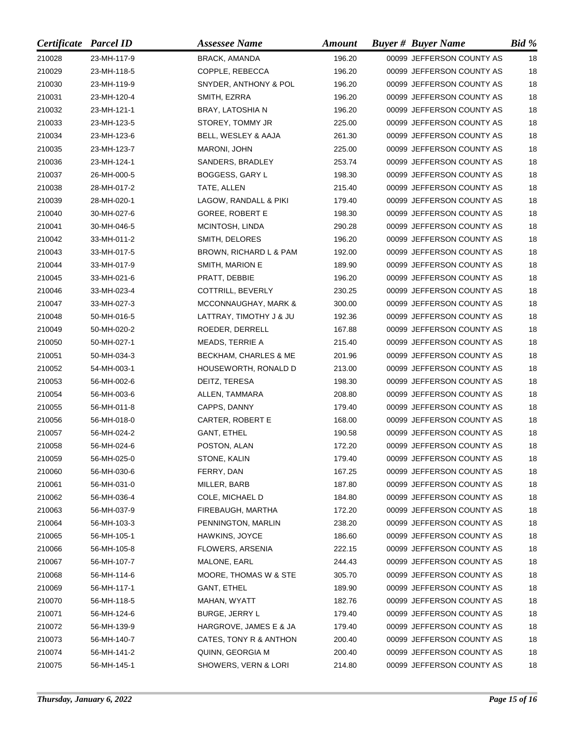| Certificate Parcel ID |             | <b>Assessee Name</b>    | <b>Amount</b> | <b>Buyer # Buyer Name</b> | Bid % |
|-----------------------|-------------|-------------------------|---------------|---------------------------|-------|
| 210028                | 23-MH-117-9 | <b>BRACK, AMANDA</b>    | 196.20        | 00099 JEFFERSON COUNTY AS | 18    |
| 210029                | 23-MH-118-5 | COPPLE, REBECCA         | 196.20        | 00099 JEFFERSON COUNTY AS | 18    |
| 210030                | 23-MH-119-9 | SNYDER, ANTHONY & POL   | 196.20        | 00099 JEFFERSON COUNTY AS | 18    |
| 210031                | 23-MH-120-4 | SMITH, EZRRA            | 196.20        | 00099 JEFFERSON COUNTY AS | 18    |
| 210032                | 23-MH-121-1 | BRAY, LATOSHIA N        | 196.20        | 00099 JEFFERSON COUNTY AS | 18    |
| 210033                | 23-MH-123-5 | STOREY, TOMMY JR        | 225.00        | 00099 JEFFERSON COUNTY AS | 18    |
| 210034                | 23-MH-123-6 | BELL, WESLEY & AAJA     | 261.30        | 00099 JEFFERSON COUNTY AS | 18    |
| 210035                | 23-MH-123-7 | MARONI, JOHN            | 225.00        | 00099 JEFFERSON COUNTY AS | 18    |
| 210036                | 23-MH-124-1 | SANDERS, BRADLEY        | 253.74        | 00099 JEFFERSON COUNTY AS | 18    |
| 210037                | 26-MH-000-5 | BOGGESS, GARY L         | 198.30        | 00099 JEFFERSON COUNTY AS | 18    |
| 210038                | 28-MH-017-2 | TATE, ALLEN             | 215.40        | 00099 JEFFERSON COUNTY AS | 18    |
| 210039                | 28-MH-020-1 | LAGOW, RANDALL & PIKI   | 179.40        | 00099 JEFFERSON COUNTY AS | 18    |
| 210040                | 30-MH-027-6 | <b>GOREE, ROBERT E</b>  | 198.30        | 00099 JEFFERSON COUNTY AS | 18    |
| 210041                | 30-MH-046-5 | MCINTOSH, LINDA         | 290.28        | 00099 JEFFERSON COUNTY AS | 18    |
| 210042                | 33-MH-011-2 | SMITH, DELORES          | 196.20        | 00099 JEFFERSON COUNTY AS | 18    |
| 210043                | 33-MH-017-5 | BROWN, RICHARD L & PAM  | 192.00        | 00099 JEFFERSON COUNTY AS | 18    |
| 210044                | 33-MH-017-9 | SMITH, MARION E         | 189.90        | 00099 JEFFERSON COUNTY AS | 18    |
| 210045                | 33-MH-021-6 | PRATT, DEBBIE           | 196.20        | 00099 JEFFERSON COUNTY AS | 18    |
| 210046                | 33-MH-023-4 | COTTRILL, BEVERLY       | 230.25        | 00099 JEFFERSON COUNTY AS | 18    |
| 210047                | 33-MH-027-3 | MCCONNAUGHAY, MARK &    | 300.00        | 00099 JEFFERSON COUNTY AS | 18    |
| 210048                | 50-MH-016-5 | LATTRAY, TIMOTHY J & JU | 192.36        | 00099 JEFFERSON COUNTY AS | 18    |
| 210049                | 50-MH-020-2 | ROEDER, DERRELL         | 167.88        | 00099 JEFFERSON COUNTY AS | 18    |
| 210050                | 50-MH-027-1 | MEADS, TERRIE A         | 215.40        | 00099 JEFFERSON COUNTY AS | 18    |
| 210051                | 50-MH-034-3 | BECKHAM, CHARLES & ME   | 201.96        | 00099 JEFFERSON COUNTY AS | 18    |
| 210052                | 54-MH-003-1 | HOUSEWORTH, RONALD D    | 213.00        | 00099 JEFFERSON COUNTY AS | 18    |
| 210053                | 56-MH-002-6 | DEITZ, TERESA           | 198.30        | 00099 JEFFERSON COUNTY AS | 18    |
| 210054                | 56-MH-003-6 | ALLEN, TAMMARA          | 208.80        | 00099 JEFFERSON COUNTY AS | 18    |
| 210055                | 56-MH-011-8 | CAPPS, DANNY            | 179.40        | 00099 JEFFERSON COUNTY AS | 18    |
| 210056                | 56-MH-018-0 | CARTER, ROBERT E        | 168.00        | 00099 JEFFERSON COUNTY AS | 18    |
| 210057                | 56-MH-024-2 | <b>GANT, ETHEL</b>      | 190.58        | 00099 JEFFERSON COUNTY AS | 18    |
| 210058                | 56-MH-024-6 | POSTON, ALAN            | 172.20        | 00099 JEFFERSON COUNTY AS | 18    |
| 210059                | 56-MH-025-0 | STONE, KALIN            | 179.40        | 00099 JEFFERSON COUNTY AS | 18    |
| 210060                | 56-MH-030-6 | FERRY, DAN              | 167.25        | 00099 JEFFERSON COUNTY AS | 18    |
| 210061                | 56-MH-031-0 | MILLER, BARB            | 187.80        | 00099 JEFFERSON COUNTY AS | 18    |
| 210062                | 56-MH-036-4 | COLE, MICHAEL D         | 184.80        | 00099 JEFFERSON COUNTY AS | 18    |
| 210063                | 56-MH-037-9 | FIREBAUGH, MARTHA       | 172.20        | 00099 JEFFERSON COUNTY AS | 18    |
| 210064                | 56-MH-103-3 | PENNINGTON, MARLIN      | 238.20        | 00099 JEFFERSON COUNTY AS | 18    |
| 210065                | 56-MH-105-1 | HAWKINS, JOYCE          | 186.60        | 00099 JEFFERSON COUNTY AS | 18    |
| 210066                | 56-MH-105-8 | FLOWERS, ARSENIA        | 222.15        | 00099 JEFFERSON COUNTY AS | 18    |
| 210067                | 56-MH-107-7 | MALONE, EARL            | 244.43        | 00099 JEFFERSON COUNTY AS | 18    |
| 210068                | 56-MH-114-6 | MOORE, THOMAS W & STE   | 305.70        | 00099 JEFFERSON COUNTY AS | 18    |
| 210069                | 56-MH-117-1 | GANT, ETHEL             | 189.90        | 00099 JEFFERSON COUNTY AS | 18    |
| 210070                | 56-MH-118-5 | MAHAN, WYATT            | 182.76        | 00099 JEFFERSON COUNTY AS | 18    |
| 210071                | 56-MH-124-6 | <b>BURGE, JERRY L</b>   | 179.40        | 00099 JEFFERSON COUNTY AS | 18    |
| 210072                | 56-MH-139-9 | HARGROVE, JAMES E & JA  | 179.40        | 00099 JEFFERSON COUNTY AS | 18    |
| 210073                | 56-MH-140-7 | CATES, TONY R & ANTHON  | 200.40        | 00099 JEFFERSON COUNTY AS | 18    |
| 210074                | 56-MH-141-2 | QUINN, GEORGIA M        | 200.40        | 00099 JEFFERSON COUNTY AS | 18    |
| 210075                | 56-MH-145-1 | SHOWERS, VERN & LORI    | 214.80        | 00099 JEFFERSON COUNTY AS | 18    |